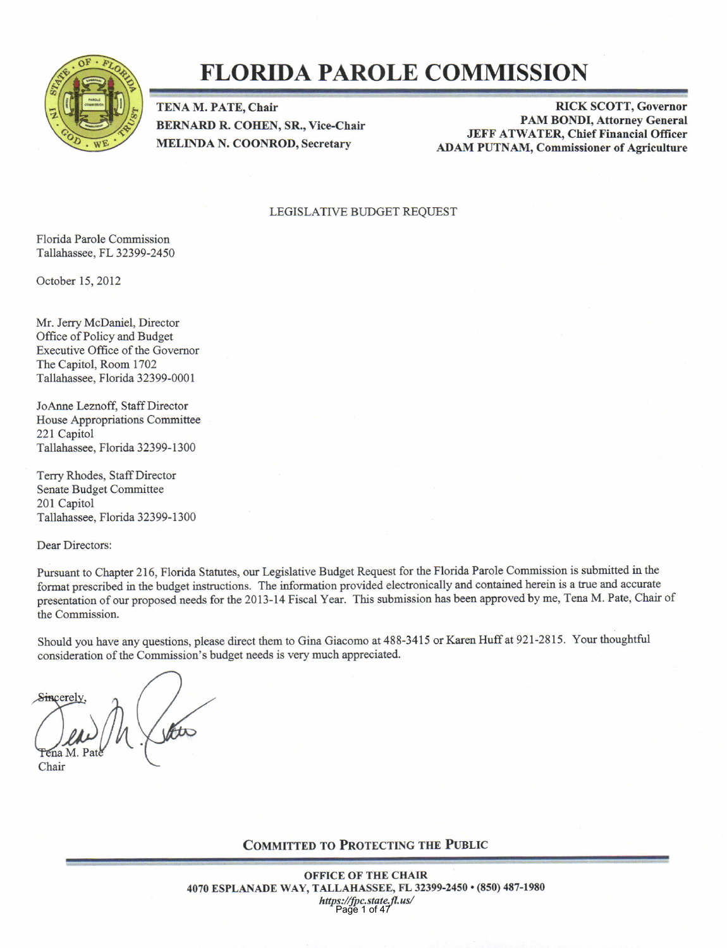

## FLORIDA PAROLE COMMISSION

TENA M. PATE, Chair BERNARD R. COHEN, SR., Vice-Chair MELINDA N. COONROD, Secretary

RICK SCOTT, Governor PAM BONDI, Attorney General **JEFF ATWATER, Chief Financial Officer** ADAM PUTNAM, Commissioner of Agriculture

#### LEGISLATIVE BUDGET REQUEST

Florida Parole Comnission Tallahassee, FL 32399-2450

October 15, 2012

Mr. Jerry McDaniel, Director Office of Policy and Budget Executive Office of the Govemor The Capitol, Room 1702 Tallahassee, Florida 32399-0001

JoAnne Leznoff. Staff Director House Appropriations Committee 221 Capitol Tallahassee, Florida 32399-1300

Terry Rhodes, Staff Director Senate Budget Committee 201 Capitol Tallahassee, Florida 32399-1300

Dear Directors:

Pursuant to Chapter 216, Florida Statutes, our Legislative Budget Request for the Florida Parole Commission is submitted in the format prescribed in the budget instructions. The information provided electronically and contained herein is a true and accurate presentation of our proposed needs for the 2013-14 Fiscal Year. This submission has been approved by me, Tena M. Pate, Chair of the Commission.

Should you have any questions, please direct them to Gina Giacomo at 488-3415 or Karen Huff at 921-2815. Your thoughtful oonsideration of the Commission's budget aeeds is very much appreciated.

Sincerel

Chair

COMMITTED TO PROTECTING THE PUBLIC

OFFICE OF THE CHAIR 4070 ESPLANADE WAY, TALLAHASSEE, FL 32399-2450 · (850) 487-1980 https://fpc.state.fl.us/ Page 1 of 47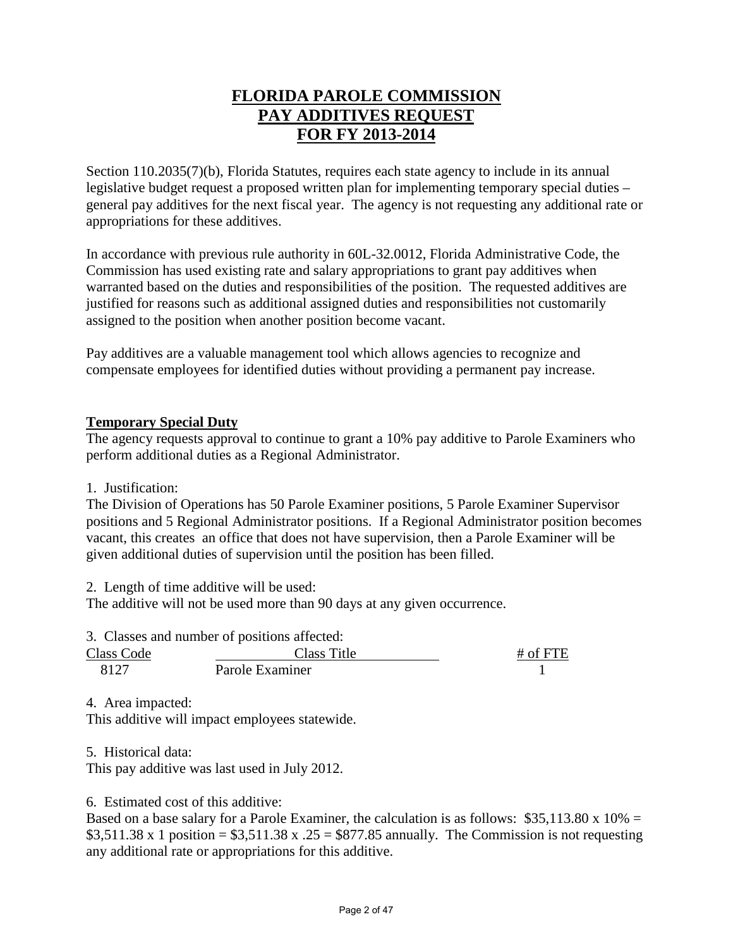#### **FLORIDA PAROLE COMMISSION PAY ADDITIVES REQUEST FOR FY 2013-2014**

Section 110.2035(7)(b), Florida Statutes, requires each state agency to include in its annual legislative budget request a proposed written plan for implementing temporary special duties – general pay additives for the next fiscal year. The agency is not requesting any additional rate or appropriations for these additives.

In accordance with previous rule authority in 60L-32.0012, Florida Administrative Code, the Commission has used existing rate and salary appropriations to grant pay additives when warranted based on the duties and responsibilities of the position. The requested additives are justified for reasons such as additional assigned duties and responsibilities not customarily assigned to the position when another position become vacant.

Pay additives are a valuable management tool which allows agencies to recognize and compensate employees for identified duties without providing a permanent pay increase.

#### **Temporary Special Duty**

The agency requests approval to continue to grant a 10% pay additive to Parole Examiners who perform additional duties as a Regional Administrator.

#### 1. Justification:

The Division of Operations has 50 Parole Examiner positions, 5 Parole Examiner Supervisor positions and 5 Regional Administrator positions. If a Regional Administrator position becomes vacant, this creates an office that does not have supervision, then a Parole Examiner will be given additional duties of supervision until the position has been filled.

2. Length of time additive will be used:

The additive will not be used more than 90 days at any given occurrence.

3. Classes and number of positions affected:

| <b>Class Code</b> | Class Title     | $#$ of FTE |
|-------------------|-----------------|------------|
| 8127              | Parole Examiner |            |

4. Area impacted:

This additive will impact employees statewide.

5. Historical data:

This pay additive was last used in July 2012.

6. Estimated cost of this additive:

Based on a base salary for a Parole Examiner, the calculation is as follows:  $$35,113.80 \times 10\% =$ \$3,511.38 x 1 position =  $$3,511.38$  x .25 = \$877.85 annually. The Commission is not requesting any additional rate or appropriations for this additive.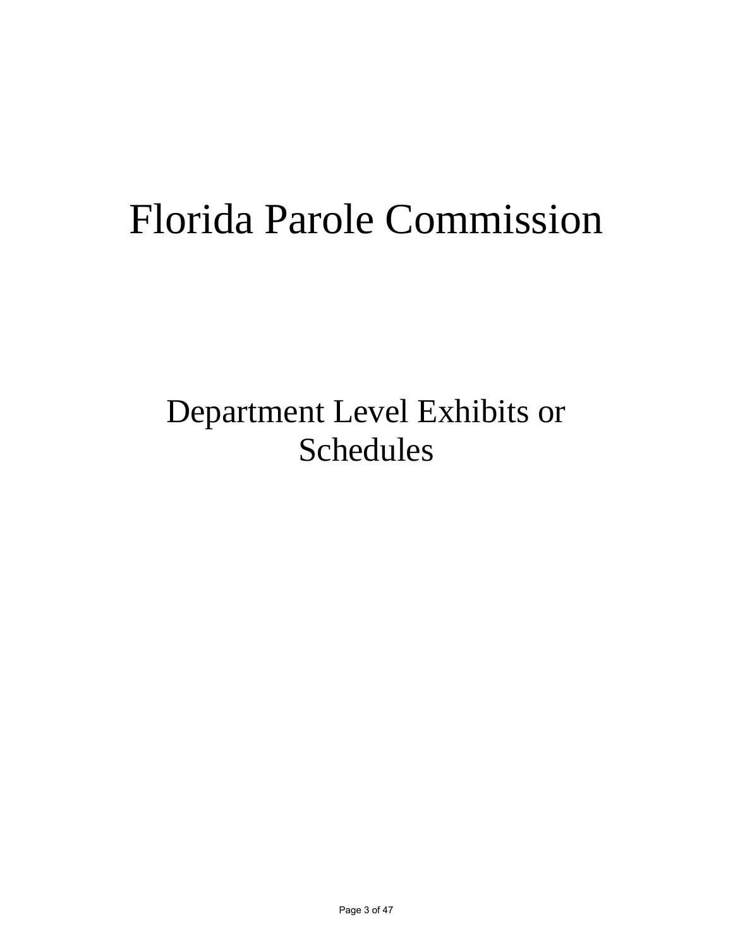# Florida Parole Commission

# Department Level Exhibits or Schedules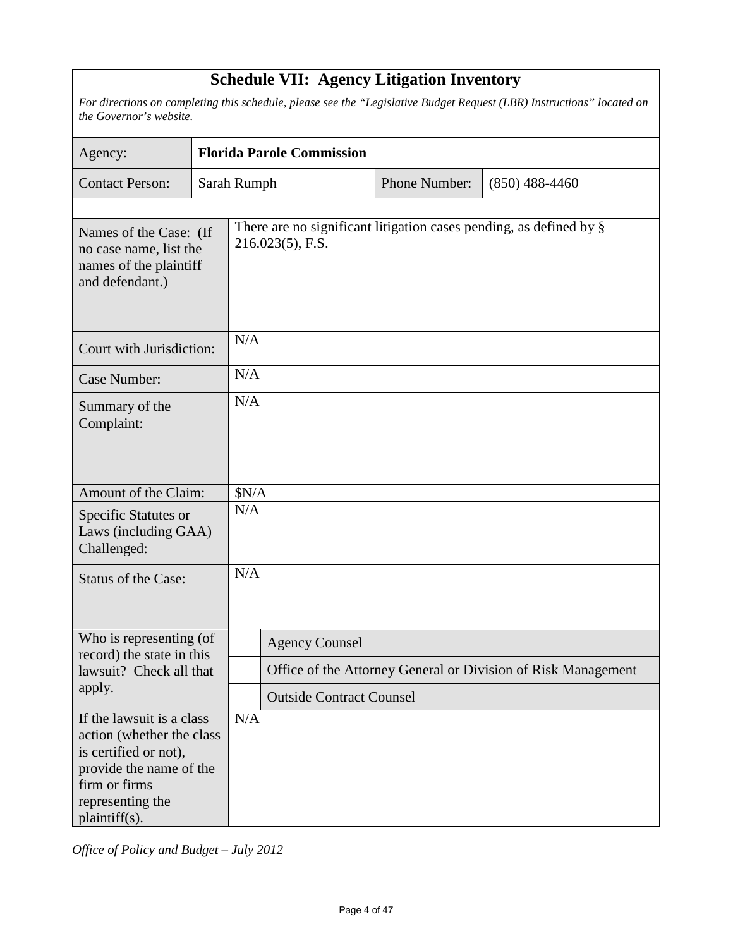### **Schedule VII: Agency Litigation Inventory**

*For directions on completing this schedule, please see the "Legislative Budget Request (LBR) Instructions" located on the Governor's website.*

| Agency:                                                                                                                                                          |             |                                                                                           | <b>Florida Parole Commission</b> |               |                                                               |  |  |  |
|------------------------------------------------------------------------------------------------------------------------------------------------------------------|-------------|-------------------------------------------------------------------------------------------|----------------------------------|---------------|---------------------------------------------------------------|--|--|--|
| <b>Contact Person:</b>                                                                                                                                           | Sarah Rumph |                                                                                           |                                  | Phone Number: | $(850)$ 488-4460                                              |  |  |  |
|                                                                                                                                                                  |             |                                                                                           |                                  |               |                                                               |  |  |  |
| Names of the Case: (If<br>no case name, list the<br>names of the plaintiff<br>and defendant.)                                                                    |             | There are no significant litigation cases pending, as defined by $\S$<br>216.023(5), F.S. |                                  |               |                                                               |  |  |  |
| Court with Jurisdiction:                                                                                                                                         |             | N/A                                                                                       |                                  |               |                                                               |  |  |  |
| <b>Case Number:</b>                                                                                                                                              |             | N/A                                                                                       |                                  |               |                                                               |  |  |  |
| Summary of the<br>Complaint:                                                                                                                                     |             | N/A                                                                                       |                                  |               |                                                               |  |  |  |
| Amount of the Claim:                                                                                                                                             |             | \$N/A                                                                                     |                                  |               |                                                               |  |  |  |
| Specific Statutes or<br>Laws (including GAA)<br>Challenged:                                                                                                      |             | N/A                                                                                       |                                  |               |                                                               |  |  |  |
| <b>Status of the Case:</b>                                                                                                                                       |             | N/A                                                                                       |                                  |               |                                                               |  |  |  |
| Who is representing (of<br>record) the state in this                                                                                                             |             |                                                                                           | <b>Agency Counsel</b>            |               |                                                               |  |  |  |
| lawsuit? Check all that                                                                                                                                          |             |                                                                                           |                                  |               | Office of the Attorney General or Division of Risk Management |  |  |  |
| apply.                                                                                                                                                           |             | <b>Outside Contract Counsel</b>                                                           |                                  |               |                                                               |  |  |  |
| If the lawsuit is a class<br>action (whether the class<br>is certified or not),<br>provide the name of the<br>firm or firms<br>representing the<br>plaintiff(s). |             | N/A                                                                                       |                                  |               |                                                               |  |  |  |

*Office of Policy and Budget – July 2012*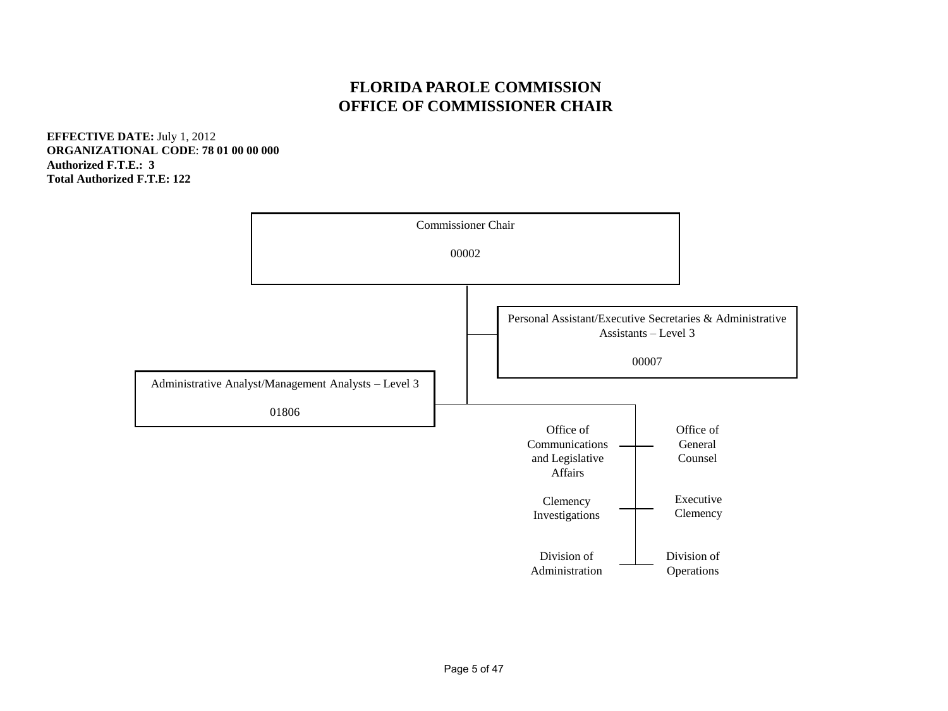#### **FLORIDA PAROLE COMMISSION OFFICE OF COMMISSIONER CHAIR**

**EFFECTIVE DATE:** July 1, 2012 **ORGANIZATIONAL CODE**: **78 01 00 00 000 Authorized F.T.E.: 3 Total Authorized F.T.E: 122** 

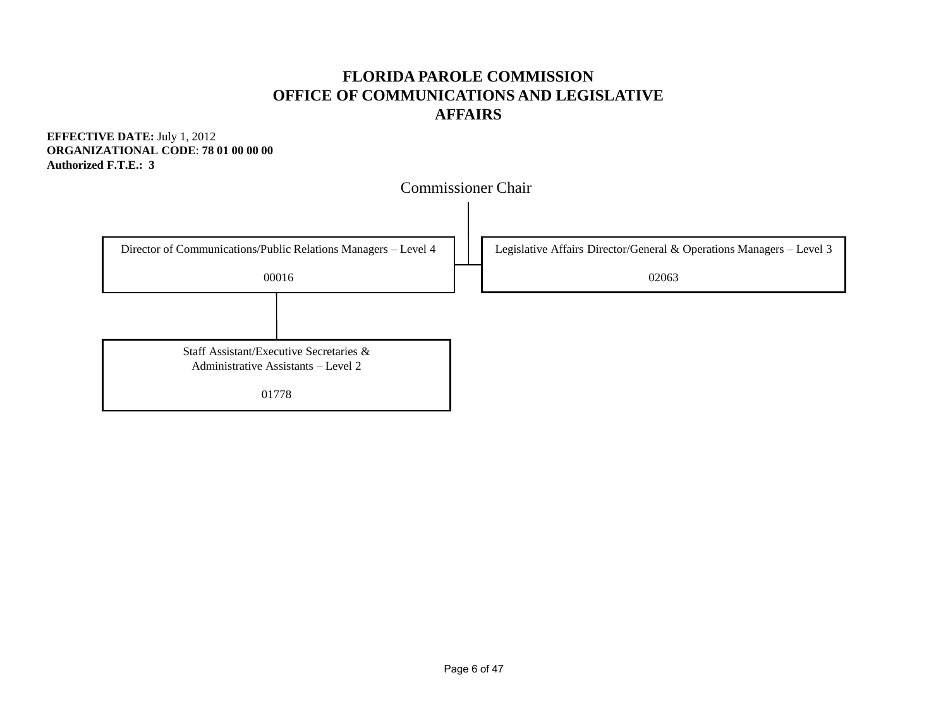#### **FLORIDA PAROLE COMMISSION OFFICE OF COMMUNICATIONS AND LEGISLATIVE AFFAIRS**

**EFFECTIVE DATE:** July 1, 2012 **ORGANIZATIONAL CODE**: **78 01 00 00 00 Authorized F.T.E.: 3** 

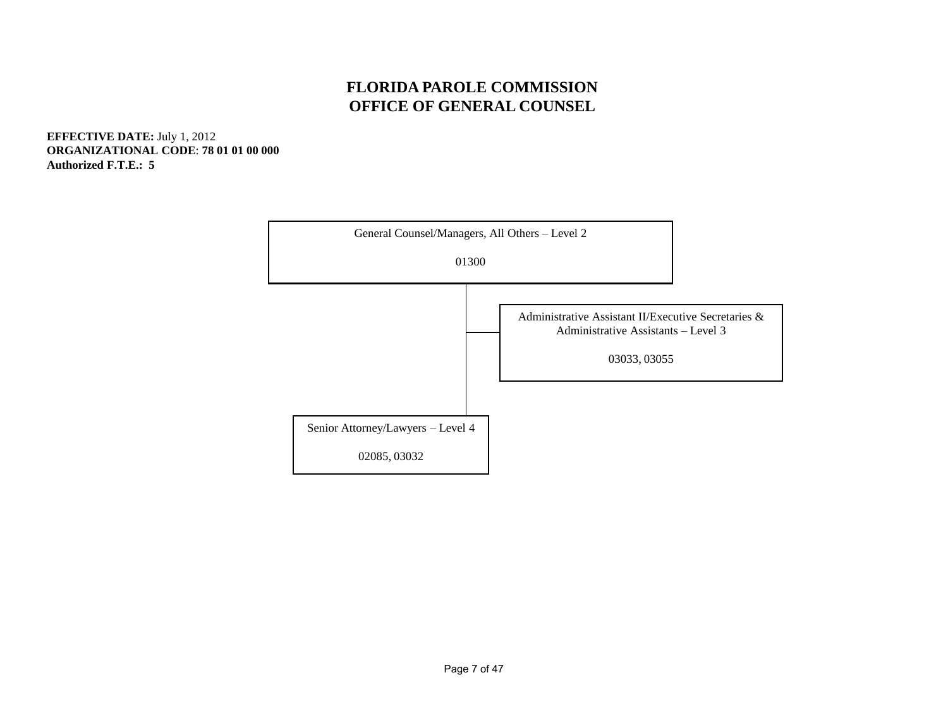#### **FLORIDA PAROLE COMMISSION OFFICE OF GENERAL COUNSEL**

**EFFECTIVE DATE:** July 1, 2012 **ORGANIZATIONAL CODE**: **78 01 01 00 000 Authorized F.T.E.: 5** 

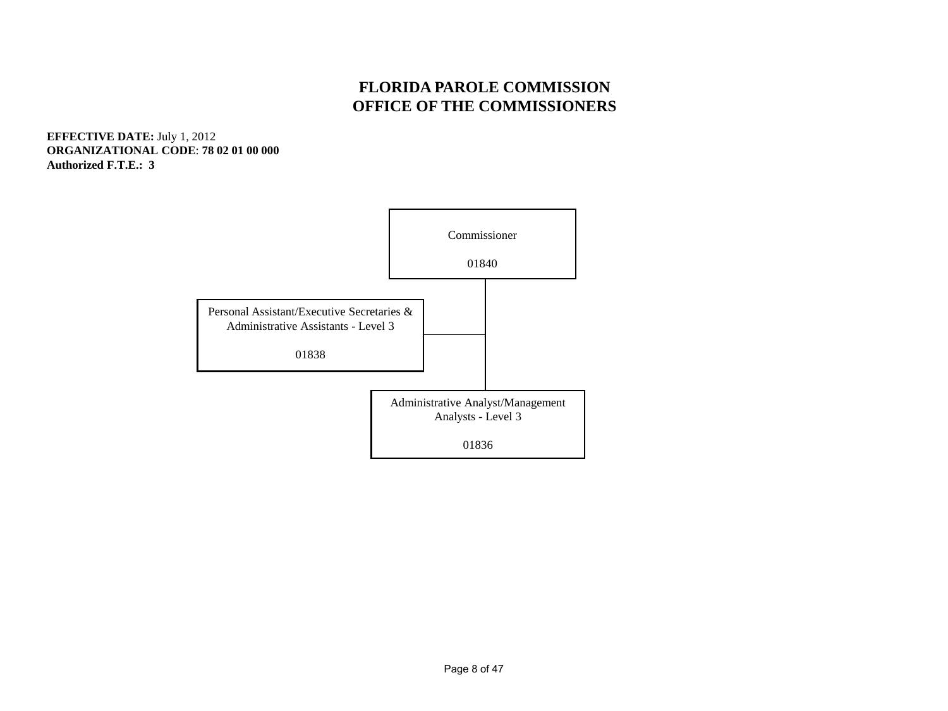#### **FLORIDA PAROLE COMMISSION OFFICE OF THE COMMISSIONERS**

**EFFECTIVE DATE:** July 1, 2012 **ORGANIZATIONAL CODE**: **78 02 01 00 000 Authorized F.T.E.: 3**

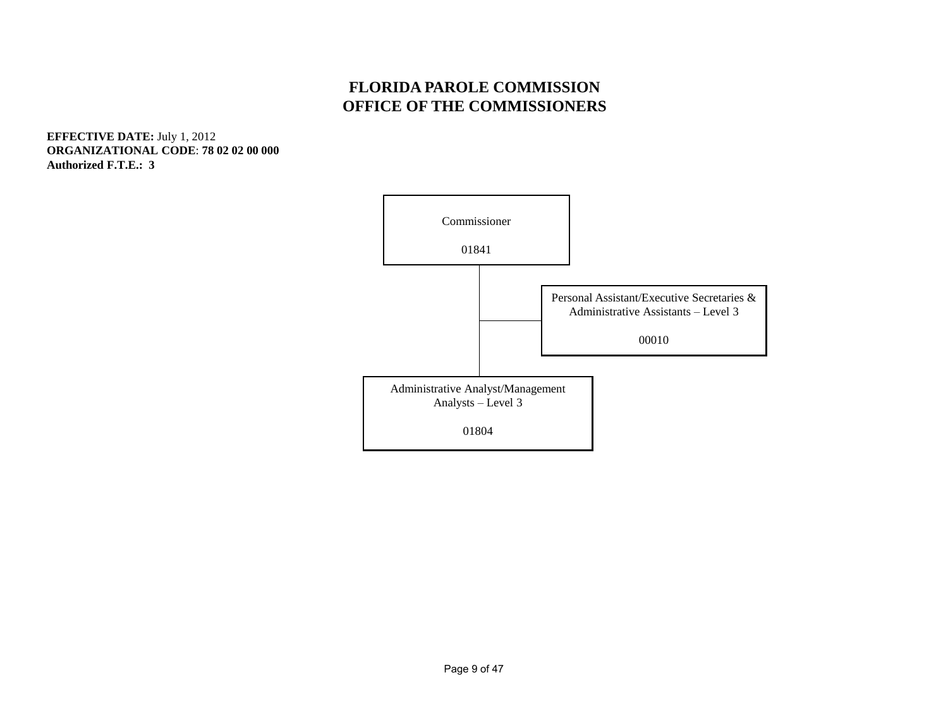#### **FLORIDA PAROLE COMMISSION OFFICE OF THE COMMISSIONERS**

**EFFECTIVE DATE:** July 1, 2012 **ORGANIZATIONAL CODE**: **78 02 02 00 000 Authorized F.T.E.: 3** 

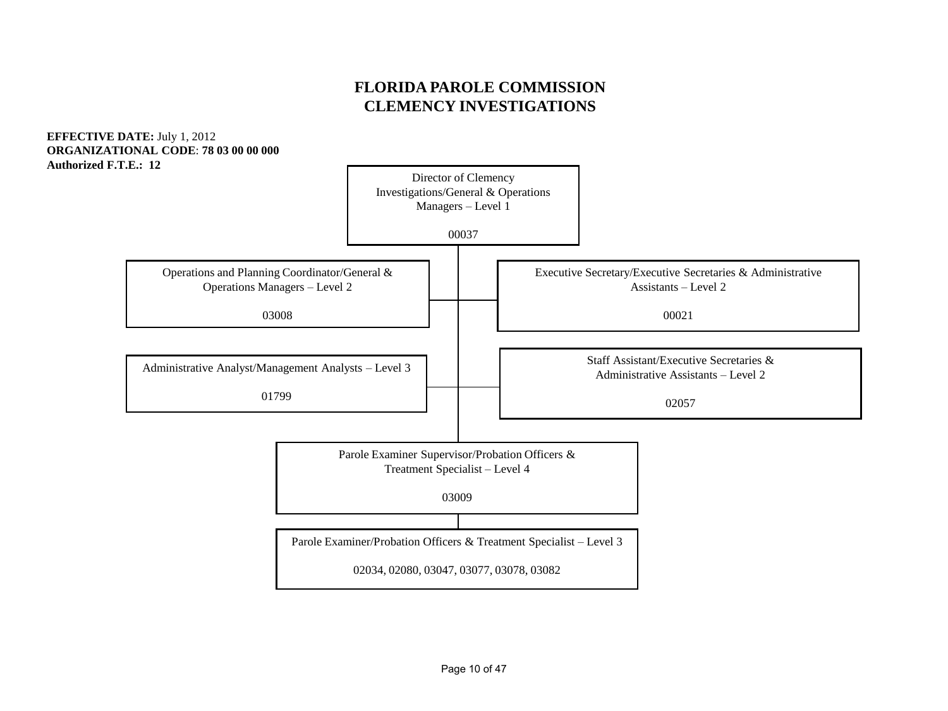#### **FLORIDA PAROLE COMMISSION CLEMENCY INVESTIGATIONS**

**EFFECTIVE DATE:** July 1, 2012 **ORGANIZATIONAL CODE**: **78 03 00 00 000 Authorized F.T.E.: 12** 

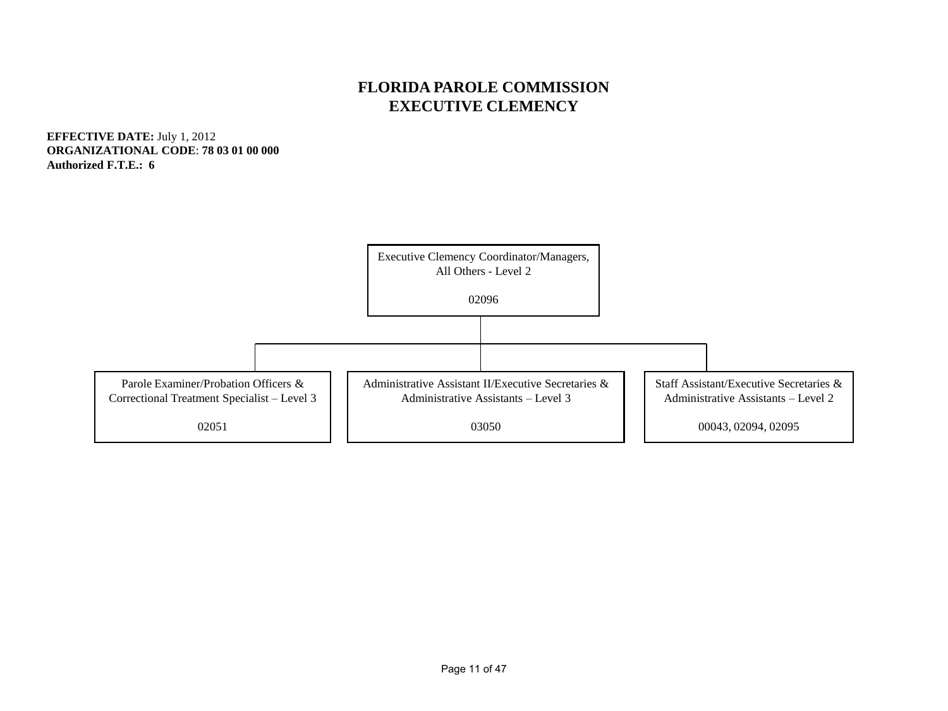#### **FLORIDA PAROLE COMMISSION EXECUTIVE CLEMENCY**

**EFFECTIVE DATE:** July 1, 2012 **ORGANIZATIONAL CODE**: **78 03 01 00 000 Authorized F.T.E.: 6**

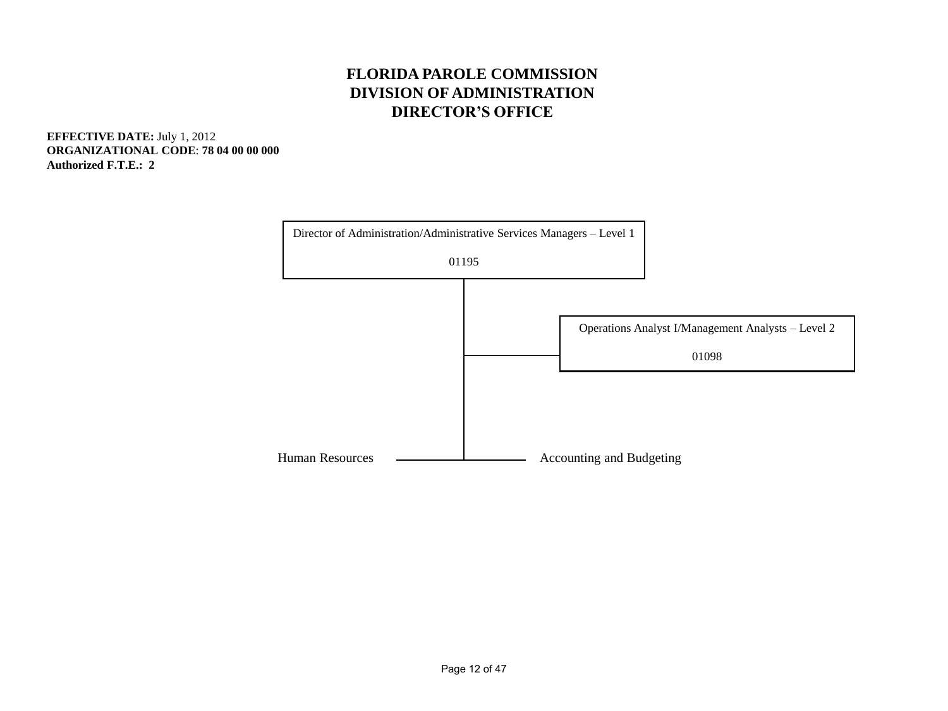#### **FLORIDA PAROLE COMMISSION DIVISION OF ADMINISTRATION DIRECTOR'S OFFICE**

**EFFECTIVE DATE:** July 1, 2012 **ORGANIZATIONAL CODE**: **78 04 00 00 000 Authorized F.T.E.: 2** 

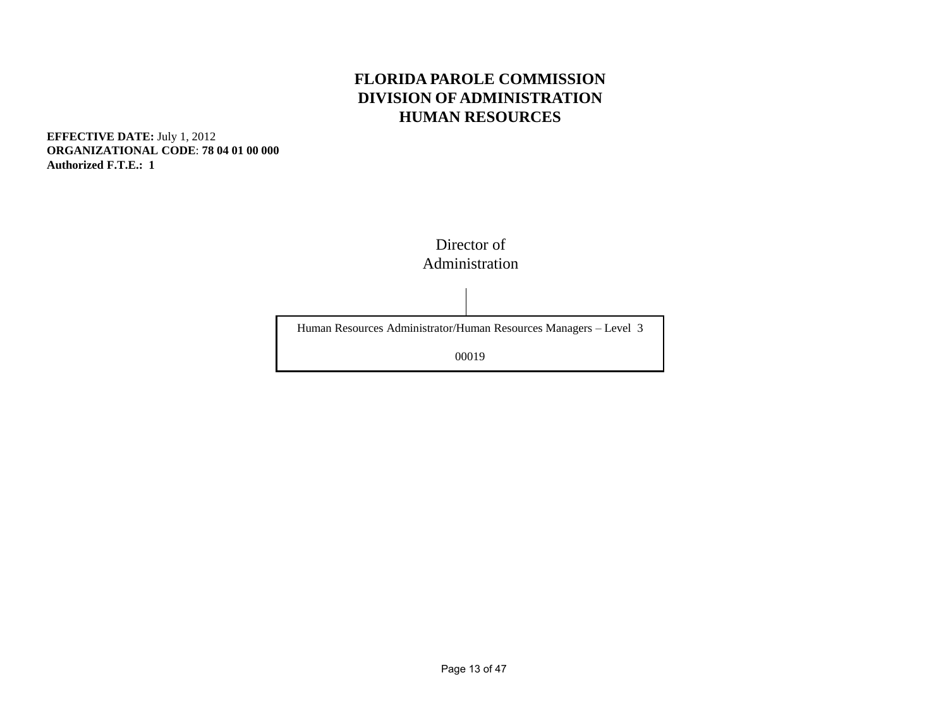#### **FLORIDA PAROLE COMMISSION DIVISION OF ADMINISTRATION HUMAN RESOURCES**

**EFFECTIVE DATE:** July 1, 2012 **ORGANIZATIONAL CODE**: **78 04 01 00 000 Authorized F.T.E.: 1**



Human Resources Administrator/Human Resources Managers – Level 3

00019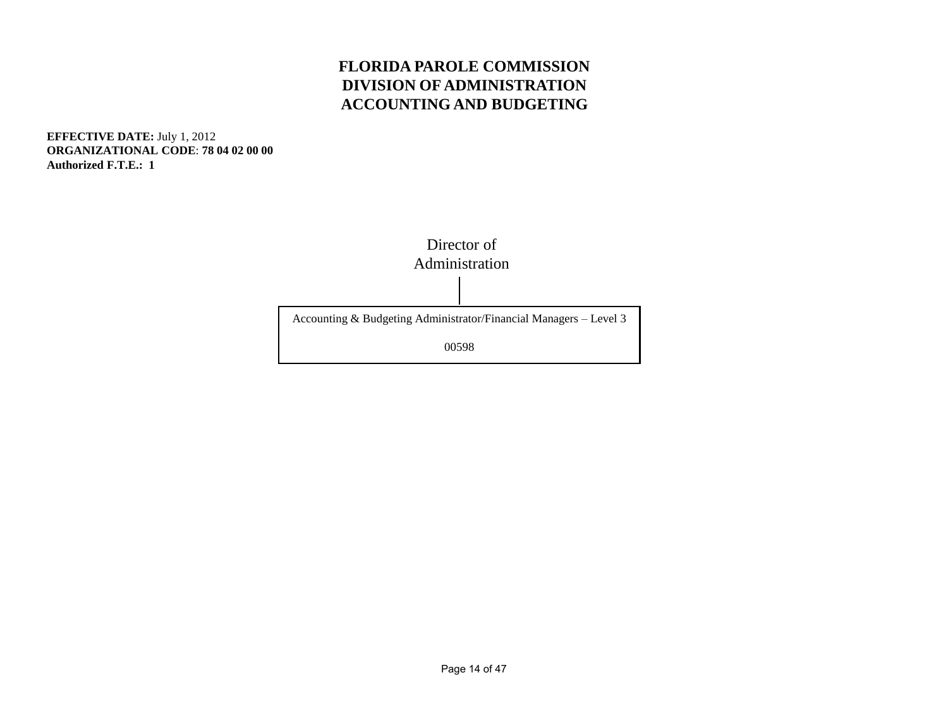#### **FLORIDA PAROLE COMMISSION DIVISION OF ADMINISTRATION ACCOUNTING AND BUDGETING**

**EFFECTIVE DATE:** July 1, 2012 **ORGANIZATIONAL CODE**: **78 04 02 00 00 Authorized F.T.E.: 1**

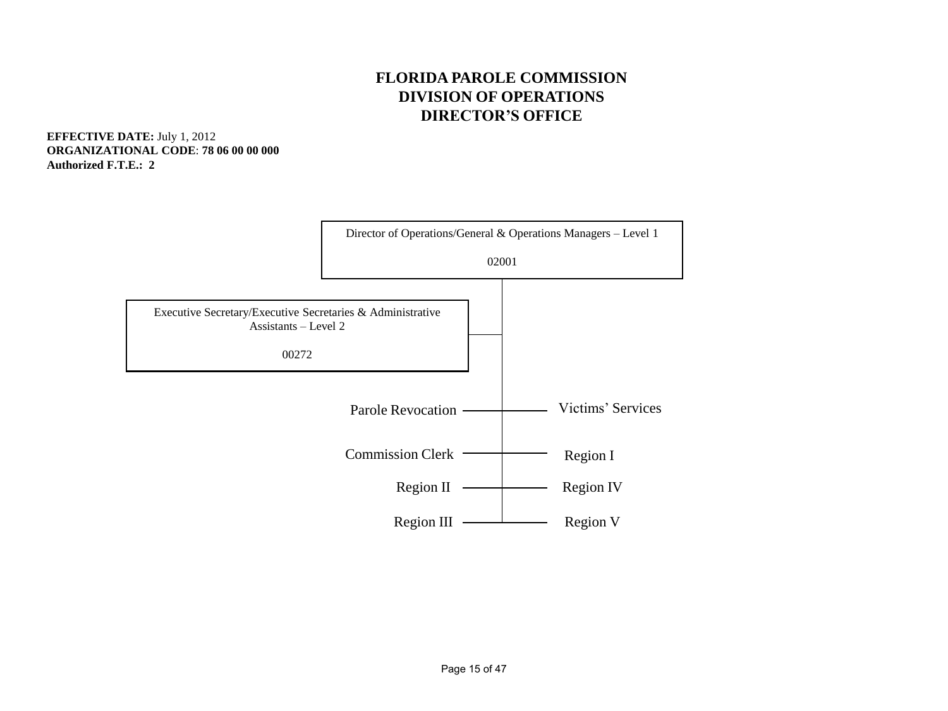#### **FLORIDA PAROLE COMMISSION DIVISION OF OPERATIONS DIRECTOR'S OFFICE**

**EFFECTIVE DATE:** July 1, 2012 **ORGANIZATIONAL CODE**: **78 06 00 00 000 Authorized F.T.E.: 2** 

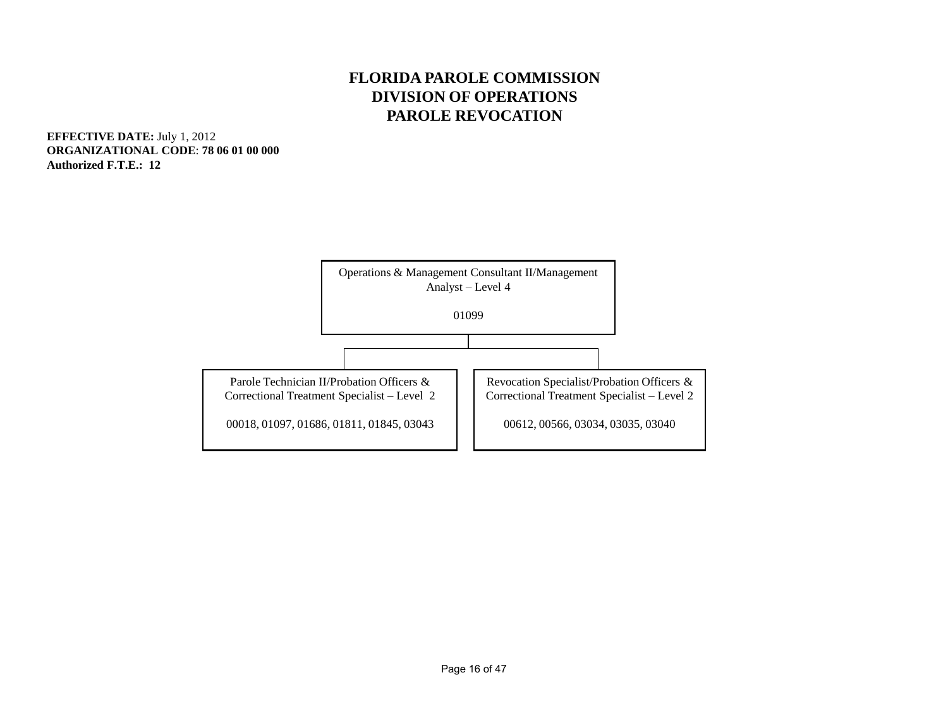#### **FLORIDA PAROLE COMMISSION DIVISION OF OPERATIONS PAROLE REVOCATION**

**EFFECTIVE DATE:** July 1, 2012 **ORGANIZATIONAL CODE**: **78 06 01 00 000 Authorized F.T.E.: 12** 

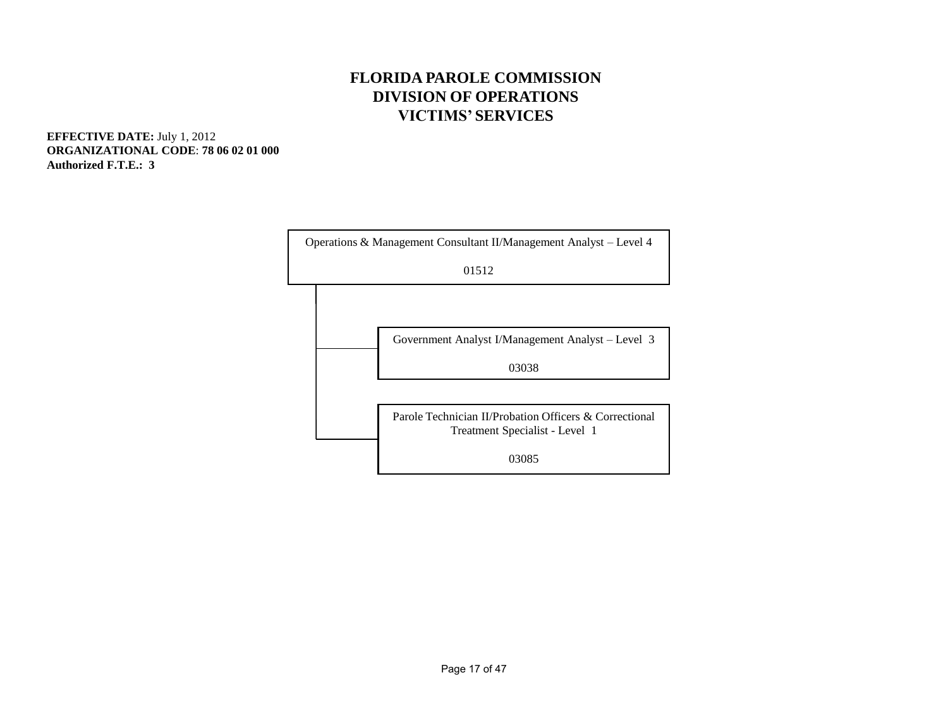#### **FLORIDA PAROLE COMMISSION DIVISION OF OPERATIONS VICTIMS' SERVICES**

**EFFECTIVE DATE:** July 1, 2012 **ORGANIZATIONAL CODE**: **78 06 02 01 000 Authorized F.T.E.: 3** 

|  | Operations & Management Consultant II/Management Analyst – Level 4                       |
|--|------------------------------------------------------------------------------------------|
|  | 01512                                                                                    |
|  |                                                                                          |
|  | Government Analyst I/Management Analyst – Level 3                                        |
|  | 03038                                                                                    |
|  |                                                                                          |
|  | Parole Technician II/Probation Officers & Correctional<br>Treatment Specialist - Level 1 |
|  | 03085                                                                                    |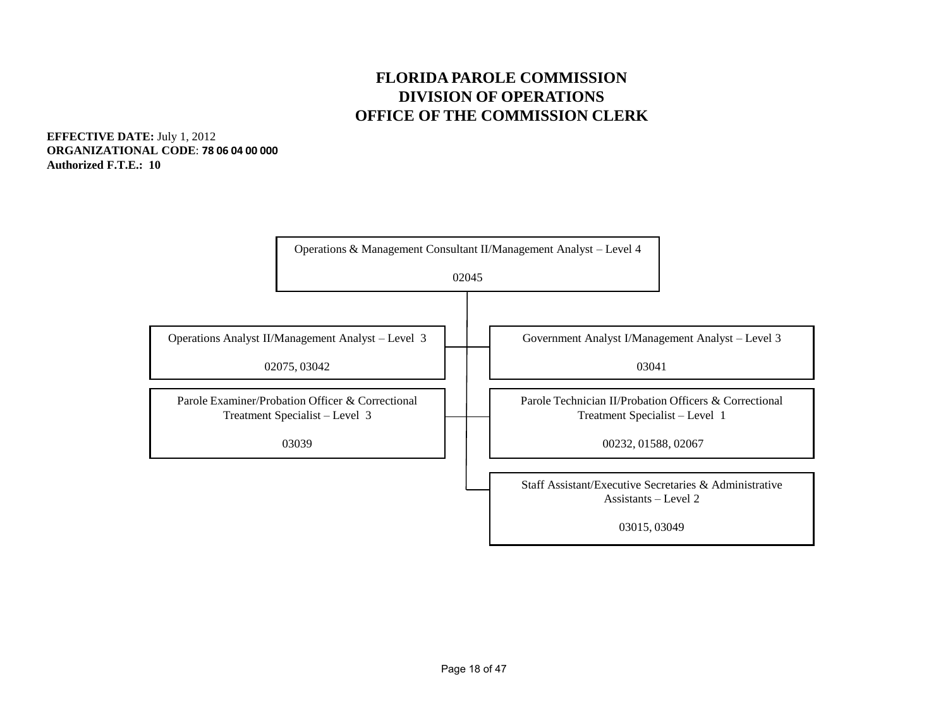#### **FLORIDA PAROLE COMMISSION DIVISION OF OPERATIONS OFFICE OF THE COMMISSION CLERK**

**EFFECTIVE DATE:** July 1, 2012 **ORGANIZATIONAL CODE**: **78 06 04 00 000 Authorized F.T.E.: 10** 

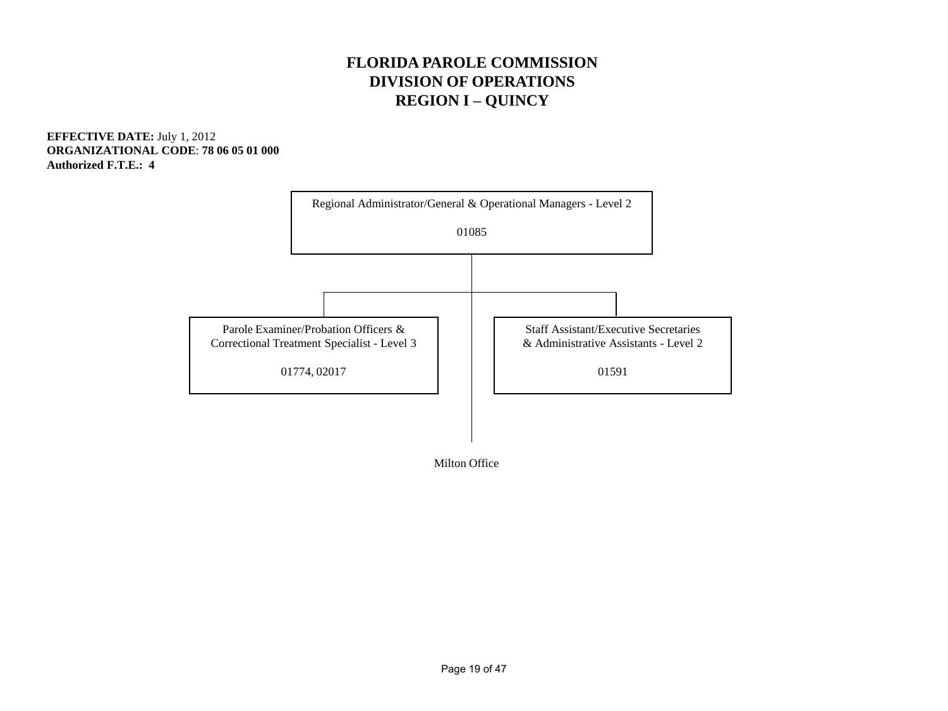#### **FLORIDA PAROLE COMMISSION DIVISION OF OPERATIONS REGION I – QUINCY**

**EFFECTIVE DATE:** July 1, 2012 **ORGANIZATIONAL CODE**: **78 06 05 01 000 Authorized F.T.E.: 4**



Milton Office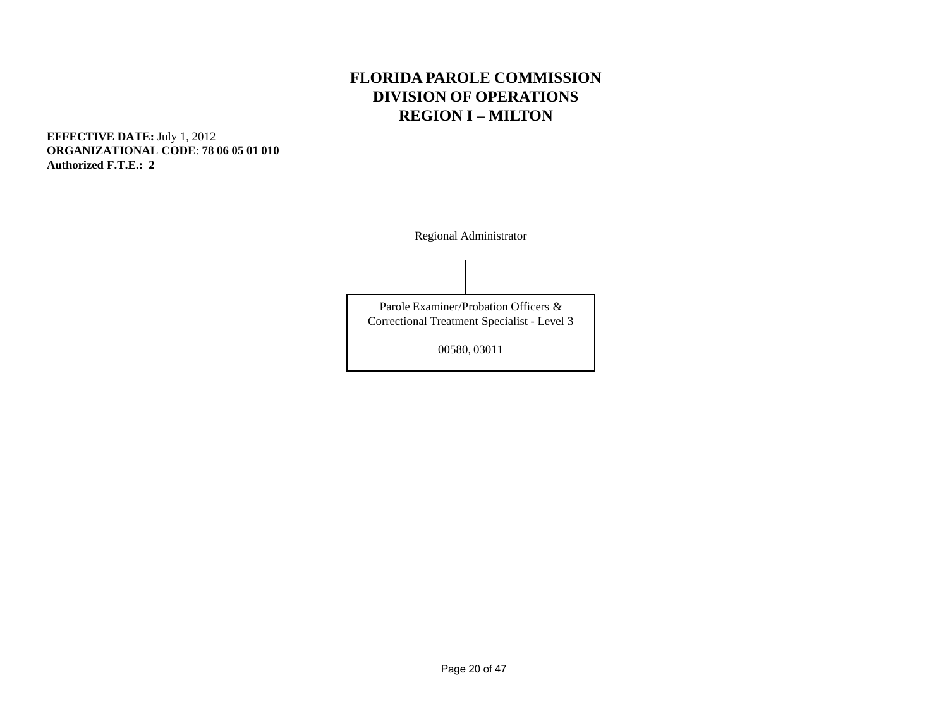#### **FLORIDA PAROLE COMMISSION DIVISION OF OPERATIONS REGION I – MILTON**

**EFFECTIVE DATE:** July 1, 2012 **ORGANIZATIONAL CODE**: **78 06 05 01 010 Authorized F.T.E.: 2** 

Regional Administrator

Parole Examiner/Probation Officers & Correctional Treatment Specialist - Level 3

00580, 03011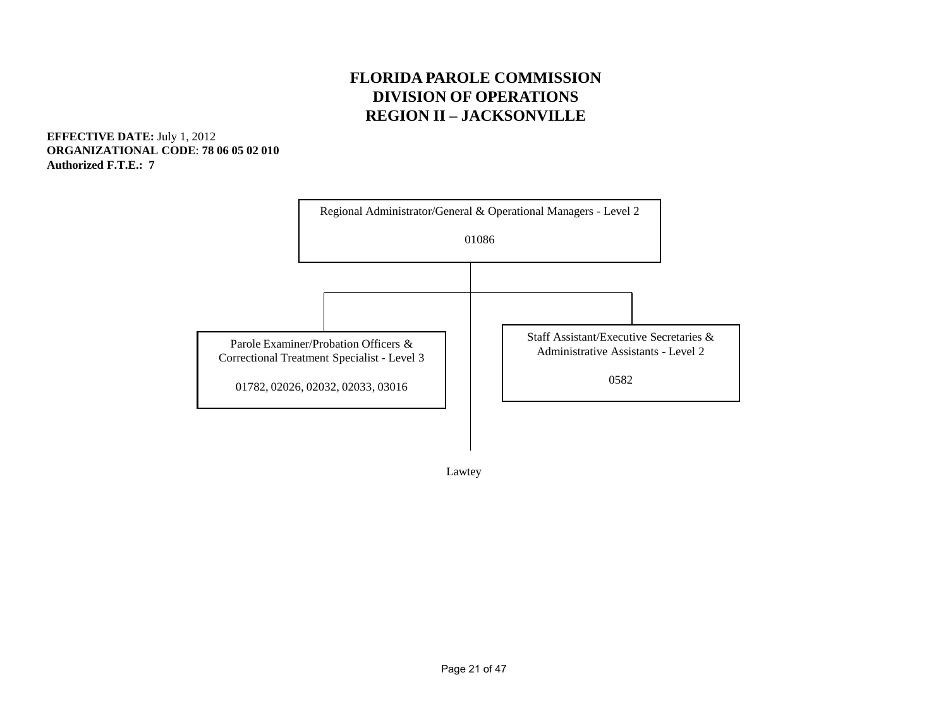#### **FLORIDA PAROLE COMMISSION DIVISION OF OPERATIONS REGION II – JACKSONVILLE**

**EFFECTIVE DATE:** July 1, 2012 **ORGANIZATIONAL CODE**: **78 06 05 02 010 Authorized F.T.E.: 7** 



Lawtey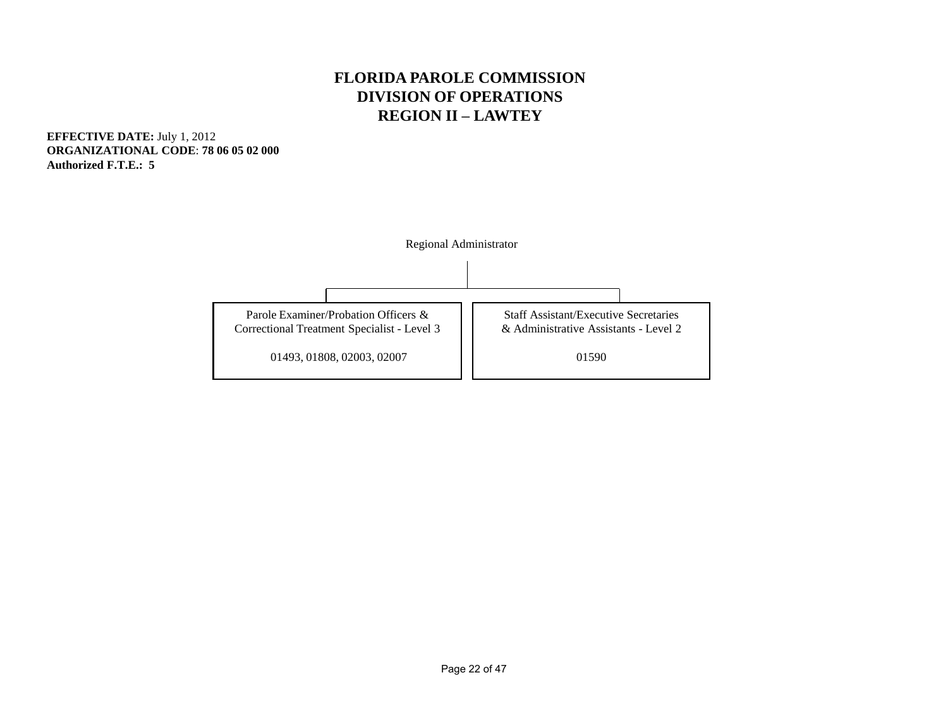#### **FLORIDA PAROLE COMMISSION DIVISION OF OPERATIONS REGION II – LAWTEY**

**EFFECTIVE DATE:** July 1, 2012 **ORGANIZATIONAL CODE**: **78 06 05 02 000 Authorized F.T.E.: 5**

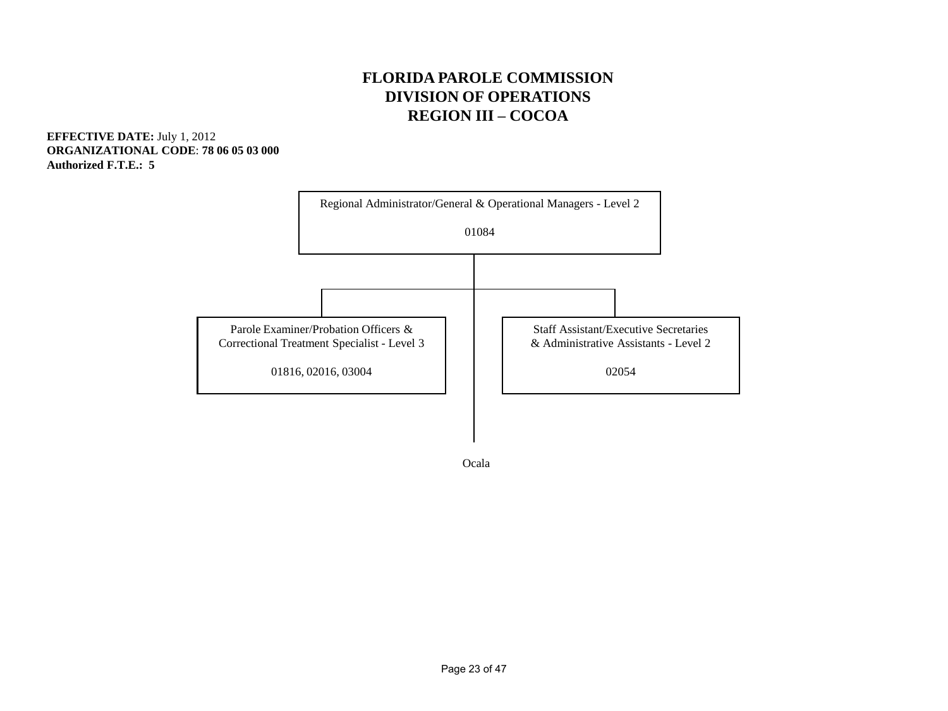#### **FLORIDA PAROLE COMMISSION DIVISION OF OPERATIONS REGION III – COCOA**

**EFFECTIVE DATE:** July 1, 2012 **ORGANIZATIONAL CODE**: **78 06 05 03 000 Authorized F.T.E.: 5**



Ocala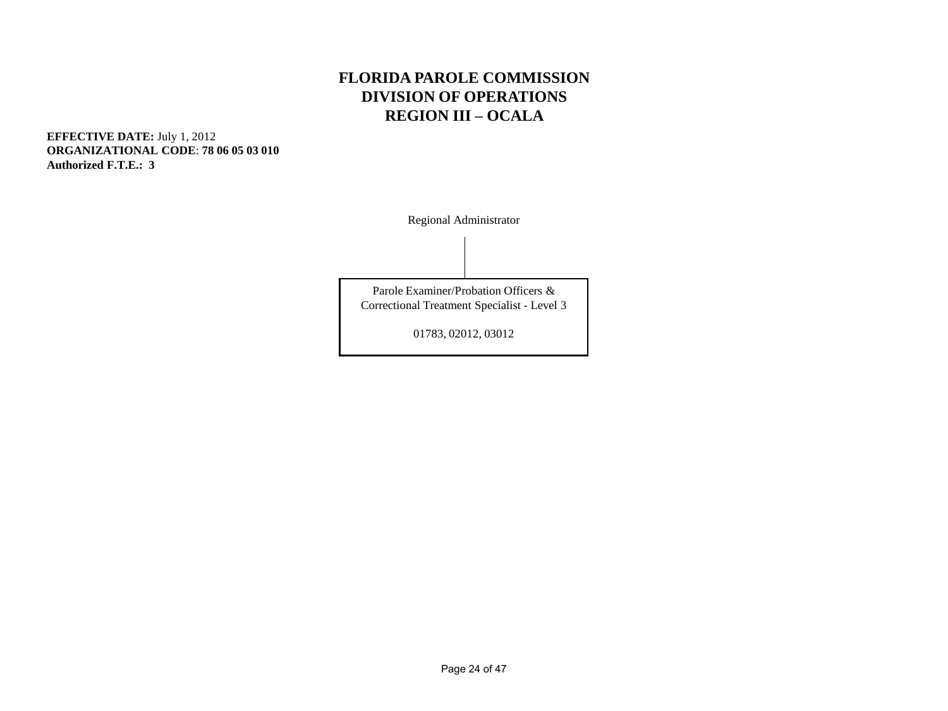#### **FLORIDA PAROLE COMMISSION DIVISION OF OPERATIONS REGION III – OCALA**

**EFFECTIVE DATE:** July 1, 2012 **ORGANIZATIONAL CODE**: **78 06 05 03 010 Authorized F.T.E.: 3** 

Regional Administrator

Parole Examiner/Probation Officers & Correctional Treatment Specialist - Level 3

01783, 02012, 03012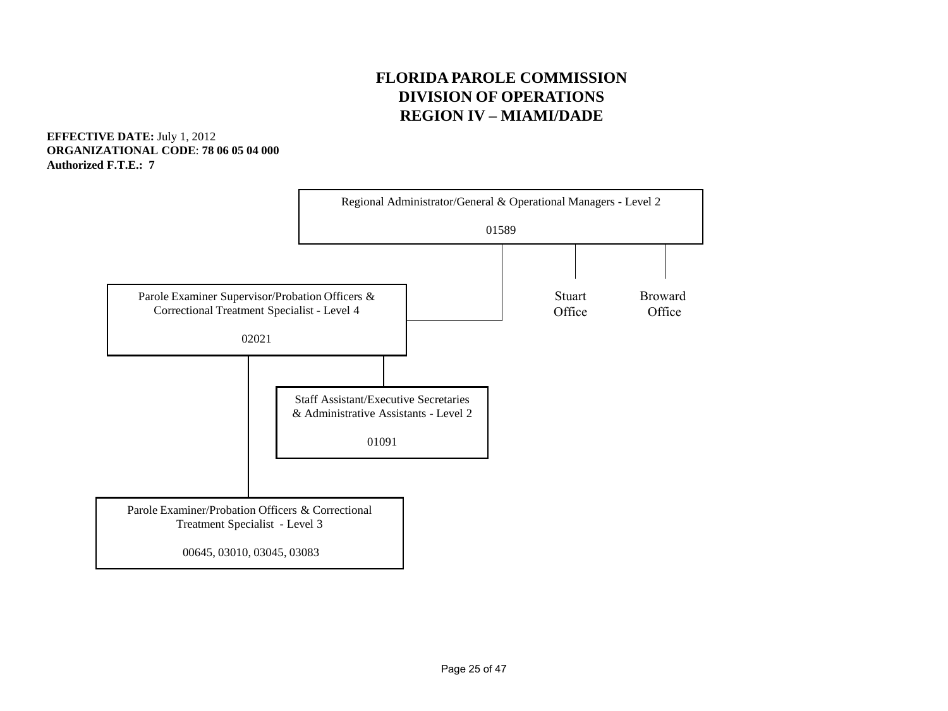#### **FLORIDA PAROLE COMMISSION DIVISION OF OPERATIONS REGION IV – MIAMI/DADE**

**EFFECTIVE DATE:** July 1, 2012 **ORGANIZATIONAL CODE**: **78 06 05 04 000 Authorized F.T.E.: 7** 

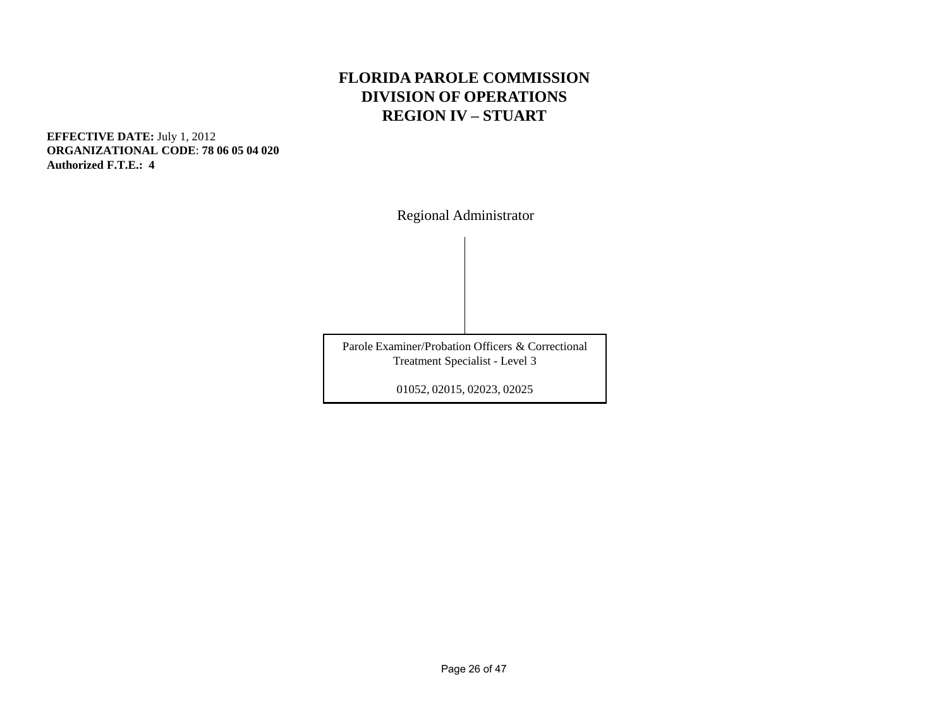#### **FLORIDA PAROLE COMMISSION DIVISION OF OPERATIONS REGION IV – STUART**

**EFFECTIVE DATE:** July 1, 2012 **ORGANIZATIONAL CODE**: **78 06 05 04 020 Authorized F.T.E.: 4** 

Regional Administrator

Parole Examiner/Probation Officers & Correctional Treatment Specialist - Level 3

01052, 02015, 02023, 02025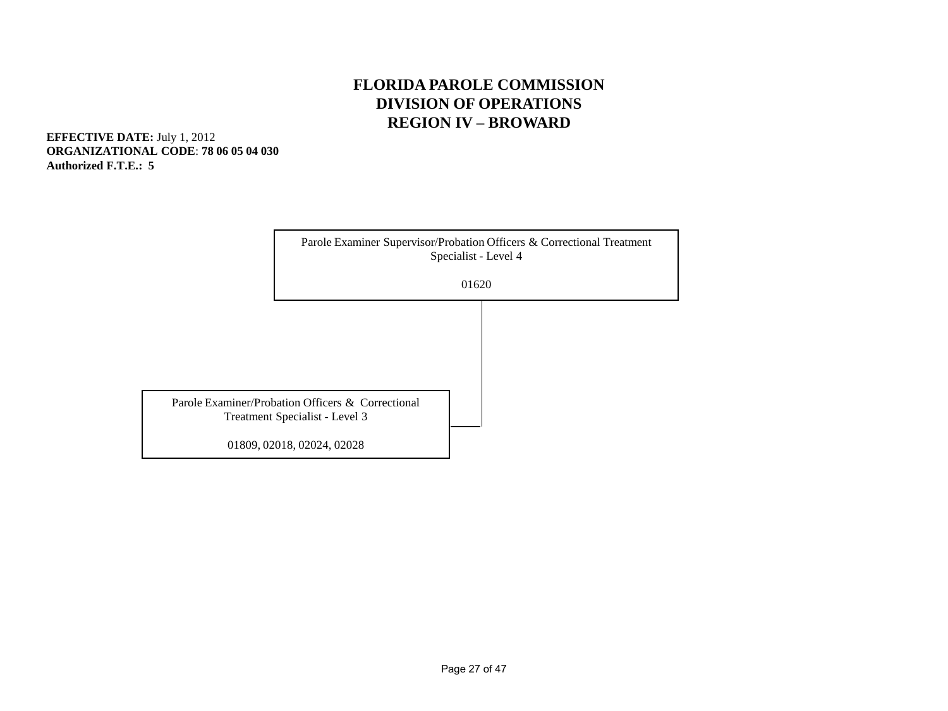#### **FLORIDA PAROLE COMMISSION DIVISION OF OPERATIONS REGION IV – BROWARD**

**EFFECTIVE DATE:** July 1, 2012 **ORGANIZATIONAL CODE**: **78 06 05 04 030 Authorized F.T.E.: 5** 

|                                                   | Parole Examiner Supervisor/Probation Officers & Correctional Treatment<br>Specialist - Level 4 |  |  |  |
|---------------------------------------------------|------------------------------------------------------------------------------------------------|--|--|--|
|                                                   | 01620                                                                                          |  |  |  |
|                                                   |                                                                                                |  |  |  |
|                                                   |                                                                                                |  |  |  |
|                                                   |                                                                                                |  |  |  |
| Parole Examiner/Probation Officers & Correctional |                                                                                                |  |  |  |
| Treatment Specialist - Level 3                    |                                                                                                |  |  |  |
| 01809, 02018, 02024, 02028                        |                                                                                                |  |  |  |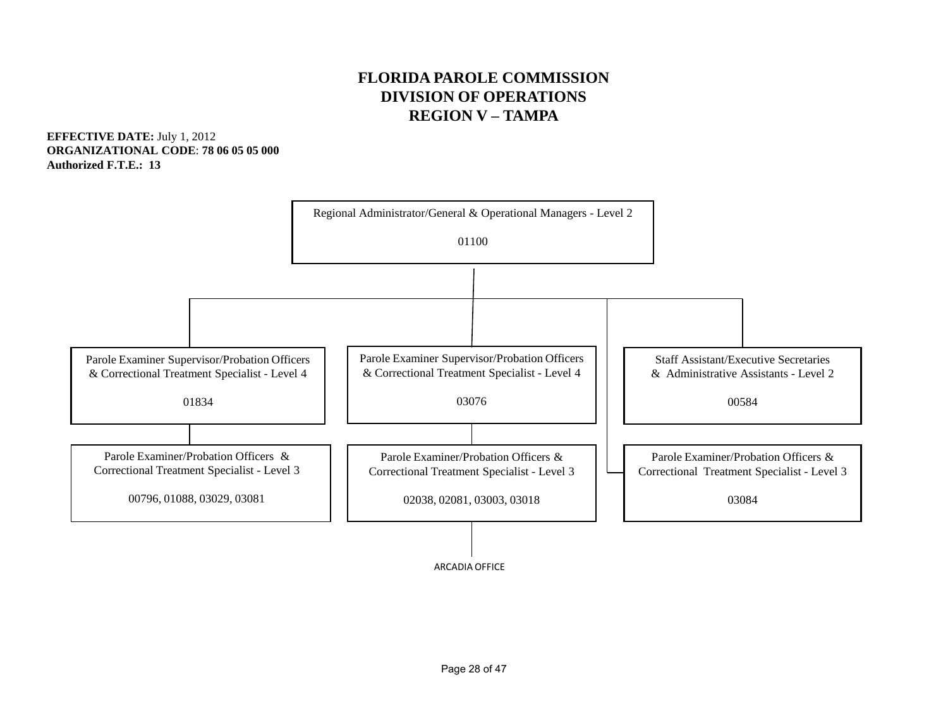#### **FLORIDA PAROLE COMMISSION DIVISION OF OPERATIONS REGION V – TAMPA**

**EFFECTIVE DATE:** July 1, 2012 **ORGANIZATIONAL CODE**: **78 06 05 05 000 Authorized F.T.E.: 13**

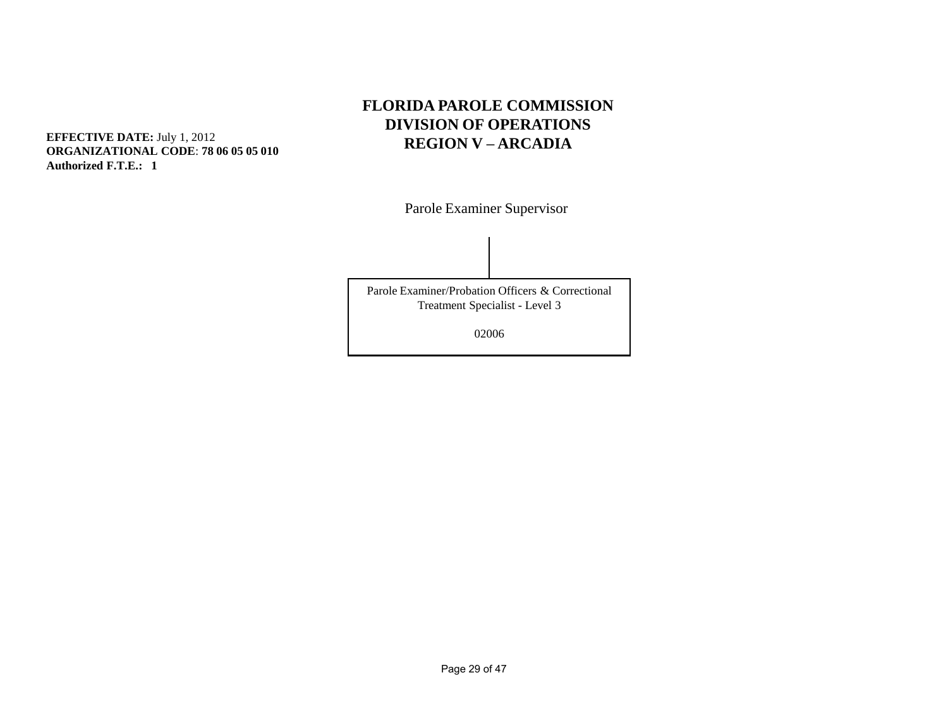#### **FLORIDA PAROLE COMMISSION DIVISION OF OPERATIONS EFFECTIVE DATE:** July 1, 2012<br> **REGION V – ARCADIA**

Parole Examiner Supervisor

Parole Examiner/Probation Officers & Correctional Treatment Specialist - Level 3

02006

**ORGANIZATIONAL CODE**: **78 06 05 05 010 Authorized F.T.E.: 1**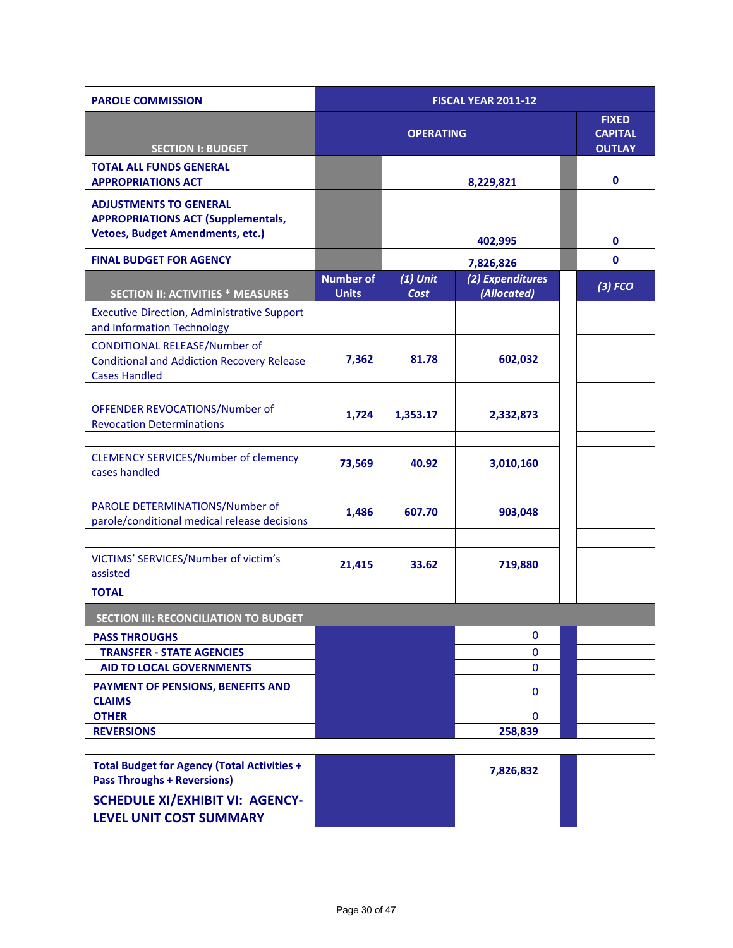| <b>PAROLE COMMISSION</b>                                                                                              | <b>FISCAL YEAR 2011-12</b>       |                    |                                                 |             |  |  |
|-----------------------------------------------------------------------------------------------------------------------|----------------------------------|--------------------|-------------------------------------------------|-------------|--|--|
| <b>SECTION I: BUDGET</b>                                                                                              |                                  | <b>OPERATING</b>   | <b>FIXED</b><br><b>CAPITAL</b><br><b>OUTLAY</b> |             |  |  |
| <b>TOTAL ALL FUNDS GENERAL</b>                                                                                        |                                  |                    |                                                 |             |  |  |
| <b>APPROPRIATIONS ACT</b>                                                                                             |                                  |                    | 8,229,821                                       | $\mathbf 0$ |  |  |
| <b>ADJUSTMENTS TO GENERAL</b><br><b>APPROPRIATIONS ACT (Supplementals,</b><br><b>Vetoes, Budget Amendments, etc.)</b> |                                  |                    | 402,995                                         |             |  |  |
| <b>FINAL BUDGET FOR AGENCY</b>                                                                                        |                                  |                    | 7,826,826                                       | $\mathbf 0$ |  |  |
| <b>SECTION II: ACTIVITIES * MEASURES</b>                                                                              | <b>Number of</b><br><b>Units</b> | $(1)$ Unit<br>Cost | (2) Expenditures<br>(Allocated)                 | $(3)$ FCO   |  |  |
| <b>Executive Direction, Administrative Support</b><br>and Information Technology                                      |                                  |                    |                                                 |             |  |  |
| <b>CONDITIONAL RELEASE/Number of</b><br><b>Conditional and Addiction Recovery Release</b><br><b>Cases Handled</b>     | 7,362                            | 81.78              | 602,032                                         |             |  |  |
| OFFENDER REVOCATIONS/Number of<br><b>Revocation Determinations</b>                                                    | 1,724                            | 1,353.17           | 2,332,873                                       |             |  |  |
| <b>CLEMENCY SERVICES/Number of clemency</b><br>cases handled                                                          | 73,569                           | 40.92              | 3,010,160                                       |             |  |  |
| PAROLE DETERMINATIONS/Number of<br>parole/conditional medical release decisions                                       | 1,486                            | 607.70             | 903,048                                         |             |  |  |
| VICTIMS' SERVICES/Number of victim's<br>assisted                                                                      | 21,415                           | 33.62              | 719,880                                         |             |  |  |
| <b>TOTAL</b>                                                                                                          |                                  |                    |                                                 |             |  |  |
| <b>SECTION III: RECONCILIATION TO BUDGET</b>                                                                          |                                  |                    |                                                 |             |  |  |
| <b>PASS THROUGHS</b>                                                                                                  |                                  |                    | 0                                               |             |  |  |
| <b>TRANSFER - STATE AGENCIES</b>                                                                                      |                                  |                    | 0                                               |             |  |  |
| <b>AID TO LOCAL GOVERNMENTS</b>                                                                                       |                                  |                    | $\mathbf{0}$                                    |             |  |  |
| PAYMENT OF PENSIONS, BENEFITS AND<br><b>CLAIMS</b>                                                                    |                                  |                    | 0                                               |             |  |  |
| <b>OTHER</b>                                                                                                          |                                  |                    | $\Omega$                                        |             |  |  |
| <b>REVERSIONS</b>                                                                                                     |                                  |                    | 258,839                                         |             |  |  |
|                                                                                                                       |                                  |                    |                                                 |             |  |  |
| <b>Total Budget for Agency (Total Activities +</b><br><b>Pass Throughs + Reversions)</b>                              |                                  |                    | 7,826,832                                       |             |  |  |
| <b>SCHEDULE XI/EXHIBIT VI: AGENCY-</b><br>LEVEL UNIT COST SUMMARY                                                     |                                  |                    |                                                 |             |  |  |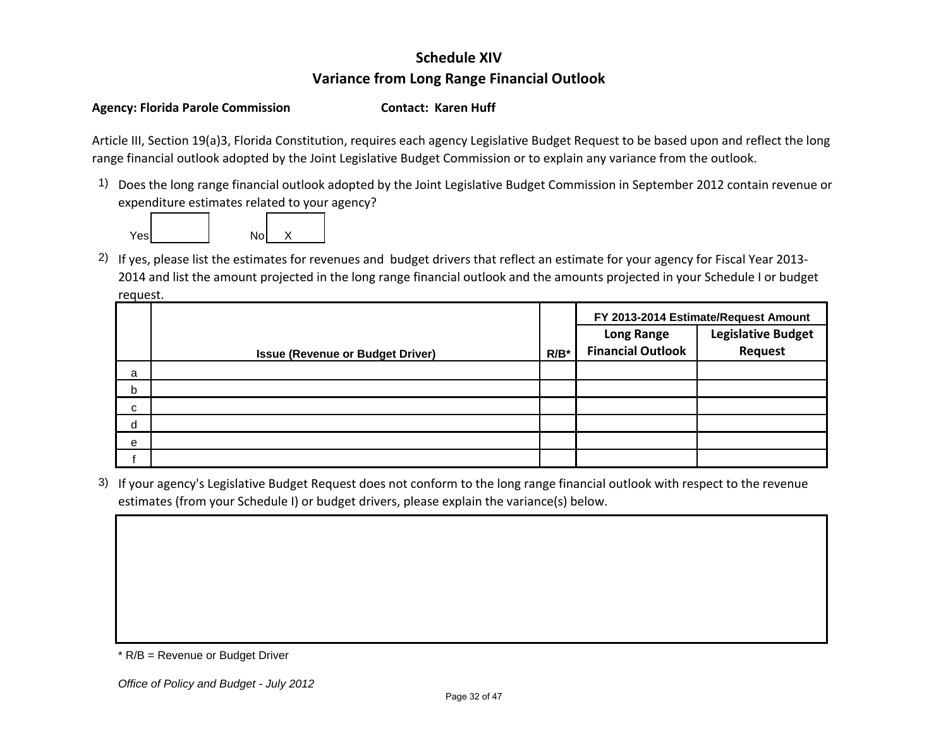### **Schedule XIV Variance from Long Range Financial Outlook**

#### Agency: Florida Parole Commission **Contact: Karen Huff**

Article III, Section 19(a)3, Florida Constitution, requires each agency Legislative Budget Request to be based upon and reflect the long range financial outlook adopted by the Joint Legislative Budget Commission or to explain any variance from the outlook.

1) Does the long range financial outlook adopted by the Joint Legislative Budget Commission in September 2012 contain revenue or expenditure estimates related to your agency?



2) If yes, please list the estimates for revenues and budget drivers that reflect an estimate for your agency for Fiscal Year 2013- 2014 and list the amount projected in the long range financial outlook and the amounts projected in your Schedule I or budget request.

|   |                                         |         | FY 2013-2014 Estimate/Request Amount<br><b>Legislative Budget</b><br><b>Long Range</b> |         |  |
|---|-----------------------------------------|---------|----------------------------------------------------------------------------------------|---------|--|
|   |                                         |         |                                                                                        |         |  |
|   | <b>Issue (Revenue or Budget Driver)</b> | $R/B^*$ | <b>Financial Outlook</b>                                                               | Request |  |
| a |                                         |         |                                                                                        |         |  |
| b |                                         |         |                                                                                        |         |  |
| С |                                         |         |                                                                                        |         |  |
| d |                                         |         |                                                                                        |         |  |
| e |                                         |         |                                                                                        |         |  |
|   |                                         |         |                                                                                        |         |  |

3) If your agency's Legislative Budget Request does not conform to the long range financial outlook with respect to the revenue estimates (from your Schedule I) or budget drivers, please explain the variance(s) below.

<sup>\*</sup> R/B = Revenue or Budget Driver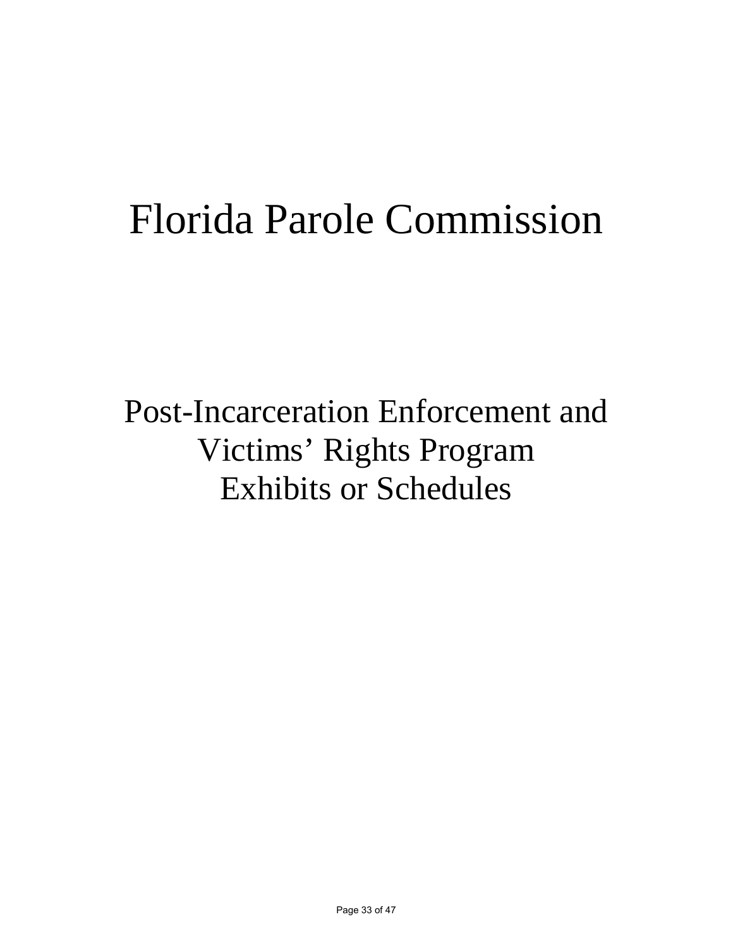# Florida Parole Commission

Post-Incarceration Enforcement and Victims' Rights Program Exhibits or Schedules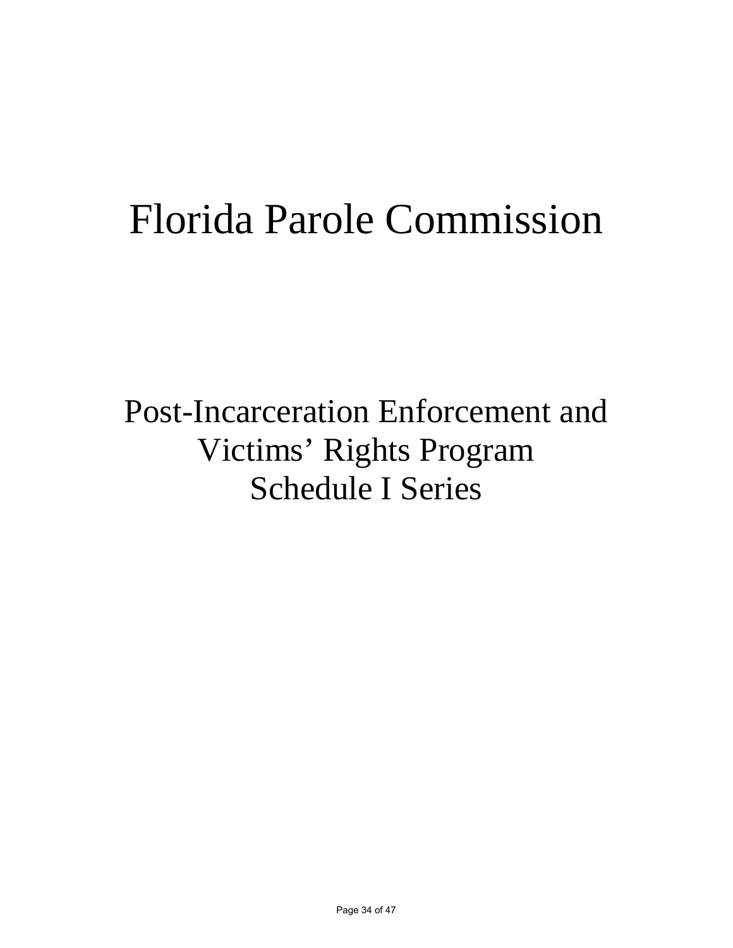# Florida Parole Commission

Post-Incarceration Enforcement and Victims' Rights Program Schedule I Series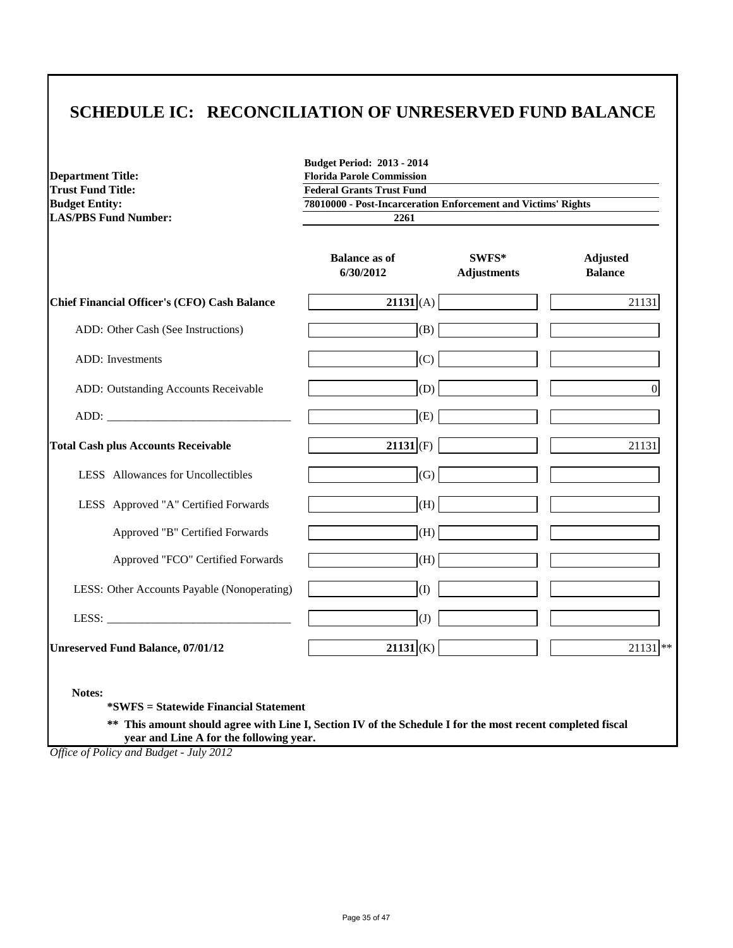### **SCHEDULE IC: RECONCILIATION OF UNRESERVED FUND BALANCE**

| <b>Department Title:</b>                                                                                                                                             | <b>Budget Period: 2013 - 2014</b><br><b>Florida Parole Commission</b> |                             |                                   |  |  |  |  |
|----------------------------------------------------------------------------------------------------------------------------------------------------------------------|-----------------------------------------------------------------------|-----------------------------|-----------------------------------|--|--|--|--|
| <b>Trust Fund Title:</b>                                                                                                                                             | <b>Federal Grants Trust Fund</b>                                      |                             |                                   |  |  |  |  |
| <b>Budget Entity:</b>                                                                                                                                                | 78010000 - Post-Incarceration Enforcement and Victims' Rights         |                             |                                   |  |  |  |  |
| <b>LAS/PBS Fund Number:</b>                                                                                                                                          | 2261                                                                  |                             |                                   |  |  |  |  |
|                                                                                                                                                                      | <b>Balance as of</b><br>6/30/2012                                     | SWFS*<br><b>Adjustments</b> | <b>Adjusted</b><br><b>Balance</b> |  |  |  |  |
| <b>Chief Financial Officer's (CFO) Cash Balance</b>                                                                                                                  | $21131$ (A)                                                           |                             | 21131                             |  |  |  |  |
| ADD: Other Cash (See Instructions)                                                                                                                                   | (B)                                                                   |                             |                                   |  |  |  |  |
| <b>ADD:</b> Investments                                                                                                                                              | (C)                                                                   |                             |                                   |  |  |  |  |
| ADD: Outstanding Accounts Receivable                                                                                                                                 | (D)                                                                   |                             | $\overline{0}$                    |  |  |  |  |
| ADD:                                                                                                                                                                 | (E)                                                                   |                             |                                   |  |  |  |  |
| <b>Total Cash plus Accounts Receivable</b>                                                                                                                           | $21131$ (F)                                                           |                             | 21131                             |  |  |  |  |
| LESS Allowances for Uncollectibles                                                                                                                                   | $\left( G\right)$                                                     |                             |                                   |  |  |  |  |
| LESS Approved "A" Certified Forwards                                                                                                                                 | (H)                                                                   |                             |                                   |  |  |  |  |
| Approved "B" Certified Forwards                                                                                                                                      | (H)                                                                   |                             |                                   |  |  |  |  |
| Approved "FCO" Certified Forwards                                                                                                                                    | (H)                                                                   |                             |                                   |  |  |  |  |
| LESS: Other Accounts Payable (Nonoperating)                                                                                                                          | (I)                                                                   |                             |                                   |  |  |  |  |
|                                                                                                                                                                      | $\mathrm{(J)}$                                                        |                             |                                   |  |  |  |  |
| <b>Unreserved Fund Balance, 07/01/12</b>                                                                                                                             | $21131$ (K)                                                           |                             | $21131$ **                        |  |  |  |  |
| Notes:<br><i>*SWFS</i> = Statewide Financial Statement<br>** This amount should agree with Line I, Section IV of the Schedule I for the most recent completed fiscal |                                                                       |                             |                                   |  |  |  |  |

 **year and Line A for the following year.**

*Office of Policy and Budget - July 2012*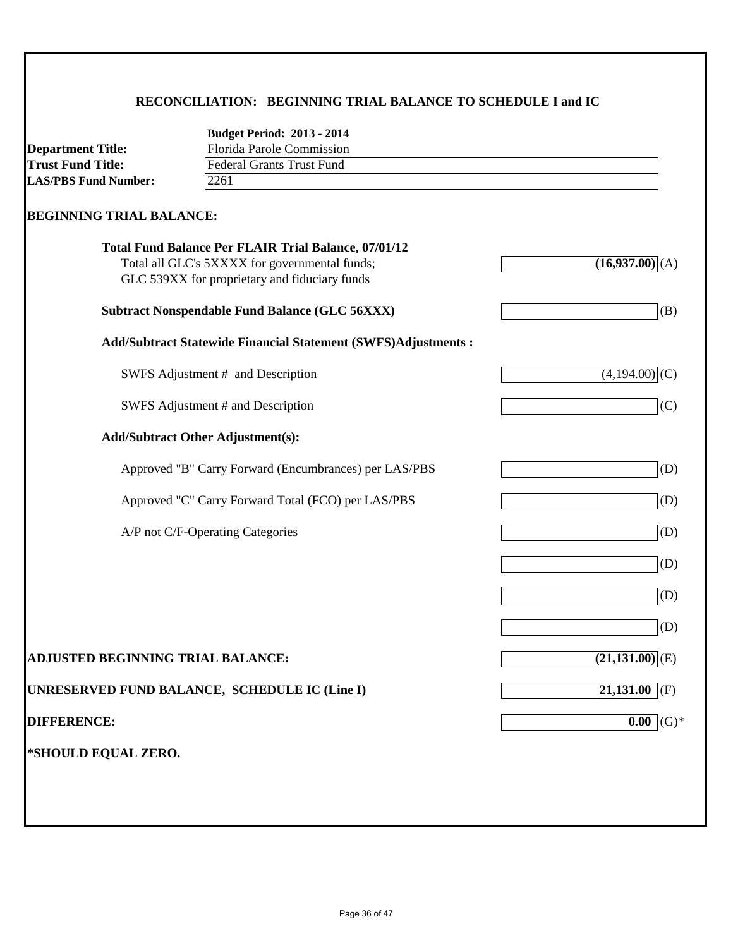### **RECONCILIATION: BEGINNING TRIAL BALANCE TO SCHEDULE I and IC**

| <b>Florida Parole Commission</b><br><b>Department Title:</b><br><b>Trust Fund Title:</b><br><b>Federal Grants Trust Fund</b><br><b>LAS/PBS Fund Number:</b><br>2261<br><b>BEGINNING TRIAL BALANCE:</b><br>Total Fund Balance Per FLAIR Trial Balance, 07/01/12<br>Total all GLC's 5XXXX for governmental funds;<br>(16,937.00)(A)<br>GLC 539XX for proprietary and fiduciary funds<br><b>Subtract Nonspendable Fund Balance (GLC 56XXX)</b><br><b>Add/Subtract Statewide Financial Statement (SWFS)Adjustments:</b><br>SWFS Adjustment # and Description<br>$(4,19\overline{4.00})$ (C)<br>SWFS Adjustment # and Description<br><b>Add/Subtract Other Adjustment(s):</b><br>Approved "B" Carry Forward (Encumbrances) per LAS/PBS<br>Approved "C" Carry Forward Total (FCO) per LAS/PBS<br>A/P not C/F-Operating Categories | <b>Budget Period: 2013 - 2014</b> |                 |
|-----------------------------------------------------------------------------------------------------------------------------------------------------------------------------------------------------------------------------------------------------------------------------------------------------------------------------------------------------------------------------------------------------------------------------------------------------------------------------------------------------------------------------------------------------------------------------------------------------------------------------------------------------------------------------------------------------------------------------------------------------------------------------------------------------------------------------|-----------------------------------|-----------------|
|                                                                                                                                                                                                                                                                                                                                                                                                                                                                                                                                                                                                                                                                                                                                                                                                                             |                                   |                 |
|                                                                                                                                                                                                                                                                                                                                                                                                                                                                                                                                                                                                                                                                                                                                                                                                                             |                                   |                 |
|                                                                                                                                                                                                                                                                                                                                                                                                                                                                                                                                                                                                                                                                                                                                                                                                                             |                                   |                 |
|                                                                                                                                                                                                                                                                                                                                                                                                                                                                                                                                                                                                                                                                                                                                                                                                                             |                                   |                 |
|                                                                                                                                                                                                                                                                                                                                                                                                                                                                                                                                                                                                                                                                                                                                                                                                                             |                                   |                 |
|                                                                                                                                                                                                                                                                                                                                                                                                                                                                                                                                                                                                                                                                                                                                                                                                                             |                                   | (B)             |
|                                                                                                                                                                                                                                                                                                                                                                                                                                                                                                                                                                                                                                                                                                                                                                                                                             |                                   |                 |
|                                                                                                                                                                                                                                                                                                                                                                                                                                                                                                                                                                                                                                                                                                                                                                                                                             |                                   |                 |
|                                                                                                                                                                                                                                                                                                                                                                                                                                                                                                                                                                                                                                                                                                                                                                                                                             |                                   | (C)             |
|                                                                                                                                                                                                                                                                                                                                                                                                                                                                                                                                                                                                                                                                                                                                                                                                                             |                                   |                 |
|                                                                                                                                                                                                                                                                                                                                                                                                                                                                                                                                                                                                                                                                                                                                                                                                                             |                                   | (D)             |
|                                                                                                                                                                                                                                                                                                                                                                                                                                                                                                                                                                                                                                                                                                                                                                                                                             |                                   | (D)             |
|                                                                                                                                                                                                                                                                                                                                                                                                                                                                                                                                                                                                                                                                                                                                                                                                                             |                                   | (D)             |
|                                                                                                                                                                                                                                                                                                                                                                                                                                                                                                                                                                                                                                                                                                                                                                                                                             |                                   | (D)             |
|                                                                                                                                                                                                                                                                                                                                                                                                                                                                                                                                                                                                                                                                                                                                                                                                                             |                                   | (D)             |
|                                                                                                                                                                                                                                                                                                                                                                                                                                                                                                                                                                                                                                                                                                                                                                                                                             |                                   | (D)             |
| $(21,131.00)$ <sup>(E)</sup><br><b>ADJUSTED BEGINNING TRIAL BALANCE:</b>                                                                                                                                                                                                                                                                                                                                                                                                                                                                                                                                                                                                                                                                                                                                                    |                                   |                 |
| $21,131.00$ (F)<br>UNRESERVED FUND BALANCE, SCHEDULE IC (Line I)                                                                                                                                                                                                                                                                                                                                                                                                                                                                                                                                                                                                                                                                                                                                                            |                                   |                 |
| <b>DIFFERENCE:</b><br>0.00                                                                                                                                                                                                                                                                                                                                                                                                                                                                                                                                                                                                                                                                                                                                                                                                  |                                   | $\mathrm{(G)*}$ |
| *SHOULD EQUAL ZERO.                                                                                                                                                                                                                                                                                                                                                                                                                                                                                                                                                                                                                                                                                                                                                                                                         |                                   |                 |
|                                                                                                                                                                                                                                                                                                                                                                                                                                                                                                                                                                                                                                                                                                                                                                                                                             |                                   |                 |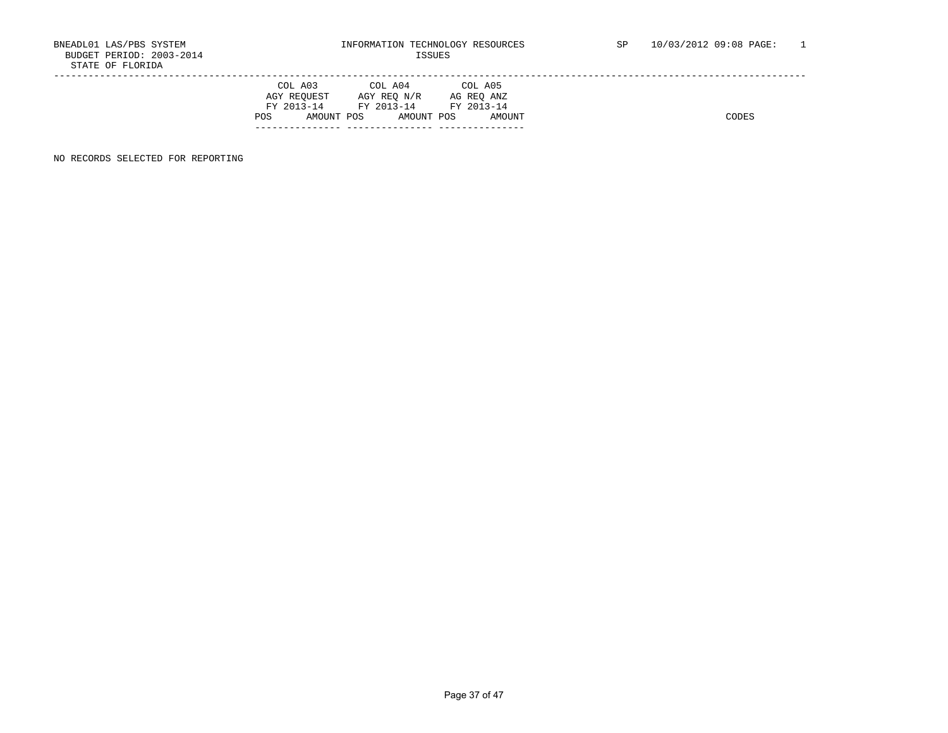|      | COL A03     | COL A04               | COL A05    |
|------|-------------|-----------------------|------------|
|      | AGY REOUEST | AGY REO N/R           | AG REO ANZ |
|      | FY 2013-14  | FY 2013-14 FY 2013-14 |            |
| POS. | AMOUNT POS  | AMOUNT POS            | AMOUNT     |
|      |             |                       |            |

NO RECORDS SELECTED FOR REPORTING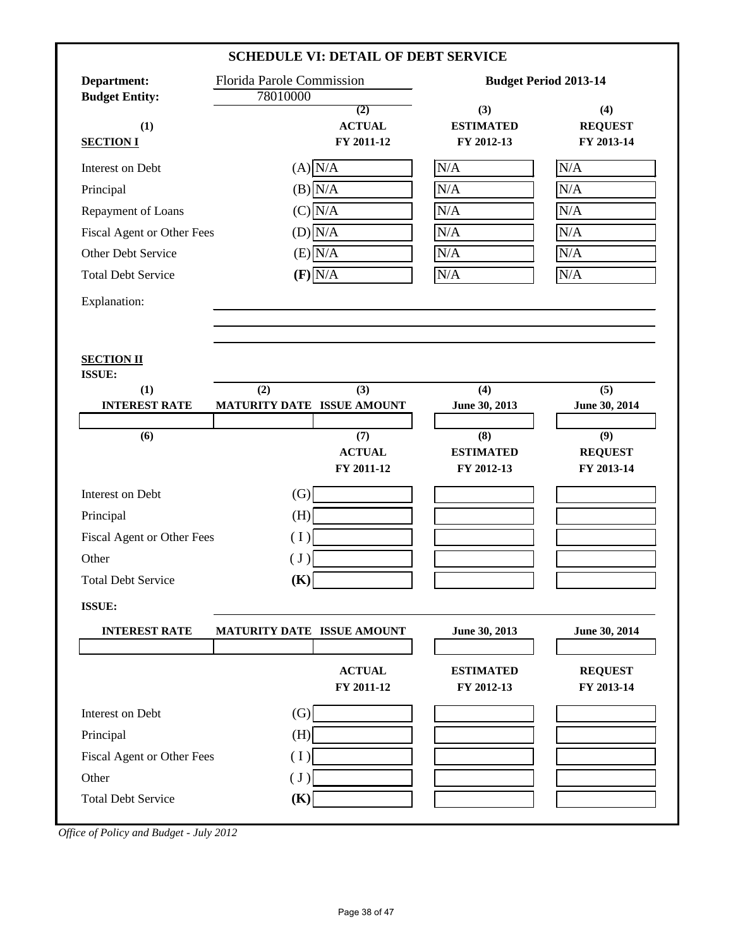|                            |                                  | <b>SCHEDULE VI: DETAIL OF DEBT SERVICE</b> |                  |                              |
|----------------------------|----------------------------------|--------------------------------------------|------------------|------------------------------|
| Department:                | <b>Florida Parole Commission</b> |                                            |                  | <b>Budget Period 2013-14</b> |
| <b>Budget Entity:</b>      | 78010000                         | (2)                                        | (3)              | (4)                          |
| (1)                        |                                  | <b>ACTUAL</b>                              | <b>ESTIMATED</b> | <b>REQUEST</b>               |
| <b>SECTION I</b>           |                                  | FY 2011-12                                 | FY 2012-13       | FY 2013-14                   |
| Interest on Debt           |                                  | $(A)$ N/A                                  | $\rm N/A$        | $\rm N/A$                    |
| Principal                  |                                  | $(B)$ N/A                                  | N/A              | N/A                          |
| Repayment of Loans         |                                  | $(C)$ $N/A$                                | N/A              | N/A                          |
| Fiscal Agent or Other Fees |                                  | $(D)\overline{N/A}$                        | N/A              | N/A                          |
| Other Debt Service         |                                  | $(E)$ N/A                                  | N/A              | N/A                          |
| <b>Total Debt Service</b>  |                                  | $(F)$ N/A                                  | N/A              | N/A                          |
| Explanation:               |                                  |                                            |                  |                              |
|                            |                                  |                                            |                  |                              |
|                            |                                  |                                            |                  |                              |
| <b>SECTION II</b>          |                                  |                                            |                  |                              |
| ISSUE:<br>(1)              | (2)                              | (3)                                        | (4)              | (5)                          |
| <b>INTEREST RATE</b>       | MATURITY DATE ISSUE AMOUNT       |                                            | June 30, 2013    | June 30, 2014                |
| (6)                        |                                  | (7)                                        | (8)              | (9)                          |
|                            |                                  | <b>ACTUAL</b>                              | <b>ESTIMATED</b> | <b>REQUEST</b>               |
|                            |                                  | FY 2011-12                                 | FY 2012-13       | FY 2013-14                   |
| Interest on Debt           | (G)                              |                                            |                  |                              |
| Principal                  | (H)                              |                                            |                  |                              |
| Fiscal Agent or Other Fees | (1)                              |                                            |                  |                              |
| Other                      | (J)                              |                                            |                  |                              |
| <b>Total Debt Service</b>  | (K)                              |                                            |                  |                              |
| ISSUE:                     |                                  |                                            |                  |                              |
| <b>INTEREST RATE</b>       | MATURITY DATE ISSUE AMOUNT       |                                            | June 30, 2013    | June 30, 2014                |
|                            |                                  |                                            |                  |                              |
|                            |                                  | <b>ACTUAL</b>                              | <b>ESTIMATED</b> | <b>REQUEST</b>               |
|                            |                                  | FY 2011-12                                 | FY 2012-13       | FY 2013-14                   |
| Interest on Debt           | $\left( G\right)$                |                                            |                  |                              |
|                            | (H)                              |                                            |                  |                              |
| Principal                  |                                  |                                            |                  |                              |
| Fiscal Agent or Other Fees | (1)                              |                                            |                  |                              |
| Other                      | $(\mathrm{J})$                   |                                            |                  |                              |

*Office of Policy and Budget - July 2012*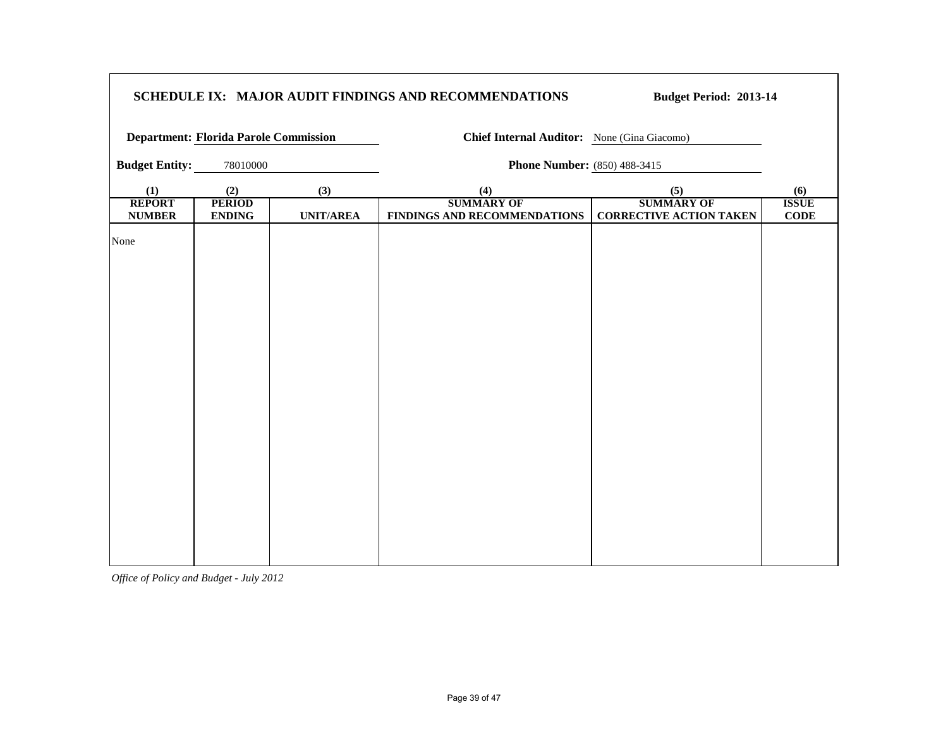| SCHEDULE IX: MAJOR AUDIT FINDINGS AND RECOMMENDATIONS |                                |                  |                                                   | <b>Budget Period: 2013-14</b>                       |                             |
|-------------------------------------------------------|--------------------------------|------------------|---------------------------------------------------|-----------------------------------------------------|-----------------------------|
| <b>Department: Florida Parole Commission</b>          |                                |                  | Chief Internal Auditor: None (Gina Giacomo)       |                                                     |                             |
| <b>Budget Entity:</b>                                 | 78010000                       |                  | <b>Phone Number:</b> (850) 488-3415               |                                                     |                             |
| (1)                                                   | (2)                            | (3)              | (4)                                               | (5)                                                 | (6)                         |
| <b>REPORT</b><br><b>NUMBER</b>                        | <b>PERIOD</b><br><b>ENDING</b> | <b>UNIT/AREA</b> | <b>SUMMARY OF</b><br>FINDINGS AND RECOMMENDATIONS | <b>SUMMARY OF</b><br><b>CORRECTIVE ACTION TAKEN</b> | <b>ISSUE</b><br><b>CODE</b> |
| None                                                  |                                |                  |                                                   |                                                     |                             |

┑

*Office of Policy and Budget - July 2012*

 $\Gamma$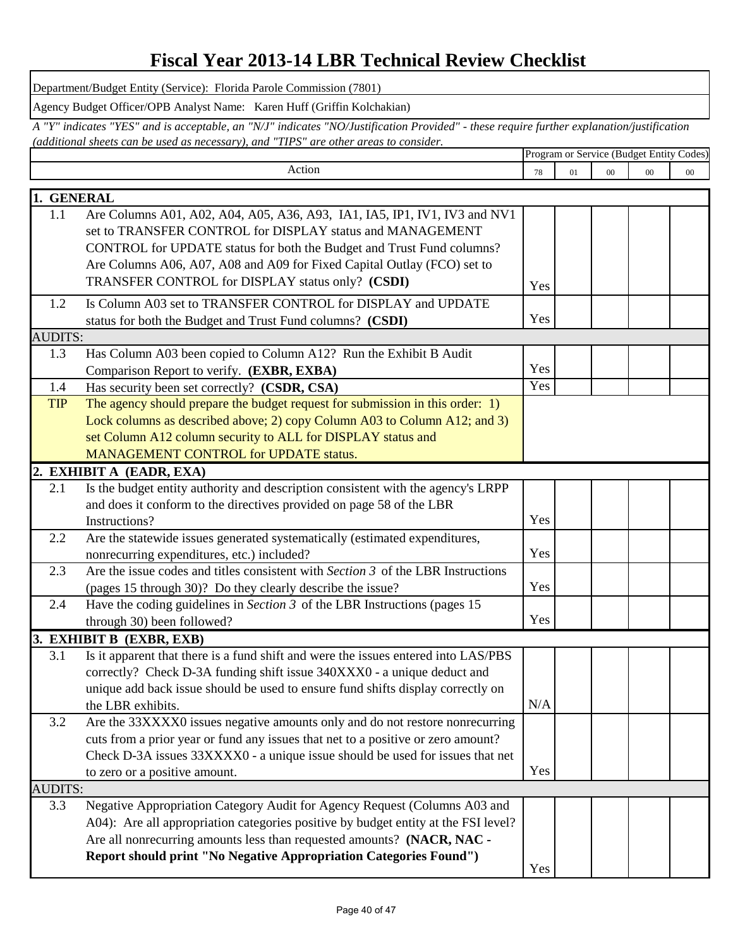### **Fiscal Year 2013-14 LBR Technical Review Checklist**

Department/Budget Entity (Service): Florida Parole Commission (7801)

Agency Budget Officer/OPB Analyst Name: Karen Huff (Griffin Kolchakian)

Program or Service (Budget Entity Codes) *A "Y" indicates "YES" and is acceptable, an "N/J" indicates "NO/Justification Provided" - these require further explanation/justification (additional sheets can be used as necessary), and "TIPS" are other areas to consider.* 

|                | Action                                                                             | 78                | 01 | $00\,$ | 00 | 00 |
|----------------|------------------------------------------------------------------------------------|-------------------|----|--------|----|----|
| 1. GENERAL     |                                                                                    |                   |    |        |    |    |
| 1.1            | Are Columns A01, A02, A04, A05, A36, A93, IA1, IA5, IP1, IV1, IV3 and NV1          |                   |    |        |    |    |
|                | set to TRANSFER CONTROL for DISPLAY status and MANAGEMENT                          |                   |    |        |    |    |
|                | CONTROL for UPDATE status for both the Budget and Trust Fund columns?              |                   |    |        |    |    |
|                | Are Columns A06, A07, A08 and A09 for Fixed Capital Outlay (FCO) set to            |                   |    |        |    |    |
|                | TRANSFER CONTROL for DISPLAY status only? (CSDI)                                   | Yes               |    |        |    |    |
| 1.2            | Is Column A03 set to TRANSFER CONTROL for DISPLAY and UPDATE                       |                   |    |        |    |    |
|                | status for both the Budget and Trust Fund columns? (CSDI)                          | Yes               |    |        |    |    |
| <b>AUDITS:</b> |                                                                                    |                   |    |        |    |    |
| 1.3            | Has Column A03 been copied to Column A12? Run the Exhibit B Audit                  |                   |    |        |    |    |
|                | Comparison Report to verify. (EXBR, EXBA)                                          | Yes               |    |        |    |    |
| 1.4            | Has security been set correctly? (CSDR, CSA)                                       | $\overline{Y}$ es |    |        |    |    |
| <b>TIP</b>     | The agency should prepare the budget request for submission in this order: 1)      |                   |    |        |    |    |
|                | Lock columns as described above; 2) copy Column A03 to Column A12; and 3)          |                   |    |        |    |    |
|                | set Column A12 column security to ALL for DISPLAY status and                       |                   |    |        |    |    |
|                | MANAGEMENT CONTROL for UPDATE status.                                              |                   |    |        |    |    |
|                | 2. EXHIBIT A (EADR, EXA)                                                           |                   |    |        |    |    |
| 2.1            | Is the budget entity authority and description consistent with the agency's LRPP   |                   |    |        |    |    |
|                | and does it conform to the directives provided on page 58 of the LBR               |                   |    |        |    |    |
|                | Instructions?                                                                      | Yes               |    |        |    |    |
| 2.2            | Are the statewide issues generated systematically (estimated expenditures,         |                   |    |        |    |    |
|                | nonrecurring expenditures, etc.) included?                                         | Yes               |    |        |    |    |
| 2.3            | Are the issue codes and titles consistent with Section 3 of the LBR Instructions   |                   |    |        |    |    |
|                | (pages 15 through 30)? Do they clearly describe the issue?                         | Yes               |    |        |    |    |
| 2.4            | Have the coding guidelines in Section $3$ of the LBR Instructions (pages 15        |                   |    |        |    |    |
|                | through 30) been followed?                                                         | Yes               |    |        |    |    |
|                | 3. EXHIBIT B (EXBR, EXB)                                                           |                   |    |        |    |    |
| 3.1            | Is it apparent that there is a fund shift and were the issues entered into LAS/PBS |                   |    |        |    |    |
|                | correctly? Check D-3A funding shift issue 340XXX0 - a unique deduct and            |                   |    |        |    |    |
|                | unique add back issue should be used to ensure fund shifts display correctly on    |                   |    |        |    |    |
|                | the LBR exhibits.                                                                  | N/A               |    |        |    |    |
| 3.2            | Are the 33XXXX0 issues negative amounts only and do not restore nonrecurring       |                   |    |        |    |    |
|                | cuts from a prior year or fund any issues that net to a positive or zero amount?   |                   |    |        |    |    |
|                | Check D-3A issues 33XXXX0 - a unique issue should be used for issues that net      |                   |    |        |    |    |
|                | to zero or a positive amount.                                                      | Yes               |    |        |    |    |
| <b>AUDITS:</b> |                                                                                    |                   |    |        |    |    |
| 3.3            | Negative Appropriation Category Audit for Agency Request (Columns A03 and          |                   |    |        |    |    |
|                | A04): Are all appropriation categories positive by budget entity at the FSI level? |                   |    |        |    |    |
|                | Are all nonrecurring amounts less than requested amounts? (NACR, NAC -             |                   |    |        |    |    |
|                | Report should print "No Negative Appropriation Categories Found")                  |                   |    |        |    |    |
|                |                                                                                    | Yes               |    |        |    |    |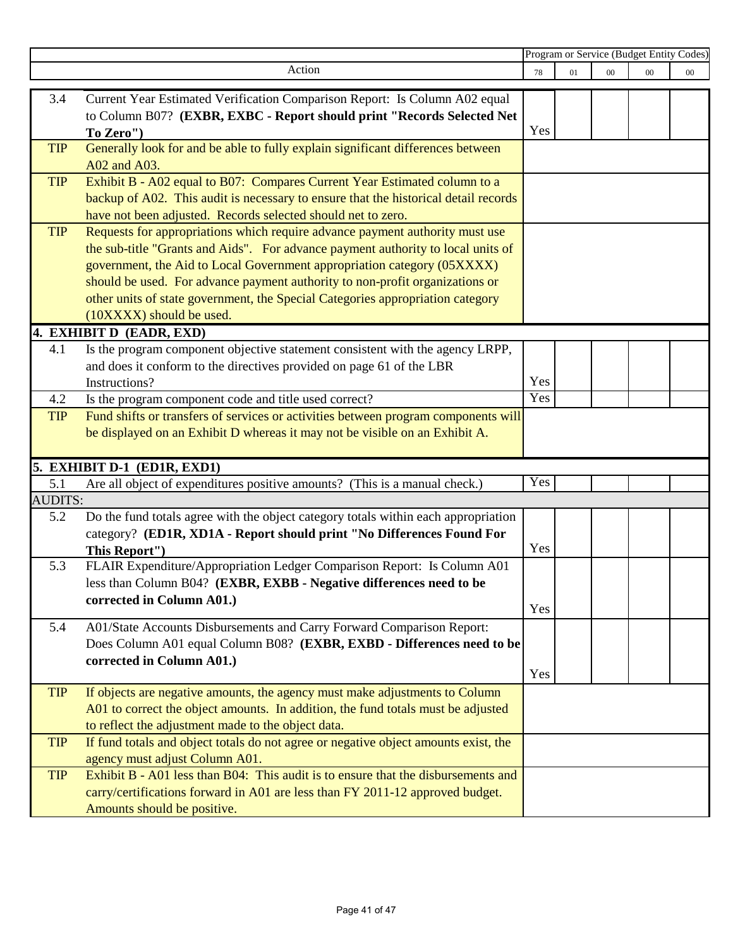|                                                                                     | Program or Service (Budget Entity Codes)                                                                                                                                                                                                                                                                                                                                                                                                                                                                                                                                                                                                                                                                                                                                                                                                                                                                                                                                                                                                                                                                                                                                                                                                                                                                                                                                                                                                                                                                                                                                                                                                                                                                                                                                                                                                                                                                                                                                                                                                                                                                                                                                                                                                                                                                                                                         |                                                                                                           |        |        |        |
|-------------------------------------------------------------------------------------|------------------------------------------------------------------------------------------------------------------------------------------------------------------------------------------------------------------------------------------------------------------------------------------------------------------------------------------------------------------------------------------------------------------------------------------------------------------------------------------------------------------------------------------------------------------------------------------------------------------------------------------------------------------------------------------------------------------------------------------------------------------------------------------------------------------------------------------------------------------------------------------------------------------------------------------------------------------------------------------------------------------------------------------------------------------------------------------------------------------------------------------------------------------------------------------------------------------------------------------------------------------------------------------------------------------------------------------------------------------------------------------------------------------------------------------------------------------------------------------------------------------------------------------------------------------------------------------------------------------------------------------------------------------------------------------------------------------------------------------------------------------------------------------------------------------------------------------------------------------------------------------------------------------------------------------------------------------------------------------------------------------------------------------------------------------------------------------------------------------------------------------------------------------------------------------------------------------------------------------------------------------------------------------------------------------------------------------------------------------|-----------------------------------------------------------------------------------------------------------|--------|--------|--------|
| Action                                                                              | 78                                                                                                                                                                                                                                                                                                                                                                                                                                                                                                                                                                                                                                                                                                                                                                                                                                                                                                                                                                                                                                                                                                                                                                                                                                                                                                                                                                                                                                                                                                                                                                                                                                                                                                                                                                                                                                                                                                                                                                                                                                                                                                                                                                                                                                                                                                                                                               | 01                                                                                                        | $00\,$ | $00\,$ | $00\,$ |
|                                                                                     |                                                                                                                                                                                                                                                                                                                                                                                                                                                                                                                                                                                                                                                                                                                                                                                                                                                                                                                                                                                                                                                                                                                                                                                                                                                                                                                                                                                                                                                                                                                                                                                                                                                                                                                                                                                                                                                                                                                                                                                                                                                                                                                                                                                                                                                                                                                                                                  |                                                                                                           |        |        |        |
|                                                                                     |                                                                                                                                                                                                                                                                                                                                                                                                                                                                                                                                                                                                                                                                                                                                                                                                                                                                                                                                                                                                                                                                                                                                                                                                                                                                                                                                                                                                                                                                                                                                                                                                                                                                                                                                                                                                                                                                                                                                                                                                                                                                                                                                                                                                                                                                                                                                                                  |                                                                                                           |        |        |        |
|                                                                                     | Yes                                                                                                                                                                                                                                                                                                                                                                                                                                                                                                                                                                                                                                                                                                                                                                                                                                                                                                                                                                                                                                                                                                                                                                                                                                                                                                                                                                                                                                                                                                                                                                                                                                                                                                                                                                                                                                                                                                                                                                                                                                                                                                                                                                                                                                                                                                                                                              |                                                                                                           |        |        |        |
|                                                                                     |                                                                                                                                                                                                                                                                                                                                                                                                                                                                                                                                                                                                                                                                                                                                                                                                                                                                                                                                                                                                                                                                                                                                                                                                                                                                                                                                                                                                                                                                                                                                                                                                                                                                                                                                                                                                                                                                                                                                                                                                                                                                                                                                                                                                                                                                                                                                                                  |                                                                                                           |        |        |        |
| A02 and A03.                                                                        |                                                                                                                                                                                                                                                                                                                                                                                                                                                                                                                                                                                                                                                                                                                                                                                                                                                                                                                                                                                                                                                                                                                                                                                                                                                                                                                                                                                                                                                                                                                                                                                                                                                                                                                                                                                                                                                                                                                                                                                                                                                                                                                                                                                                                                                                                                                                                                  |                                                                                                           |        |        |        |
| Exhibit B - A02 equal to B07: Compares Current Year Estimated column to a           |                                                                                                                                                                                                                                                                                                                                                                                                                                                                                                                                                                                                                                                                                                                                                                                                                                                                                                                                                                                                                                                                                                                                                                                                                                                                                                                                                                                                                                                                                                                                                                                                                                                                                                                                                                                                                                                                                                                                                                                                                                                                                                                                                                                                                                                                                                                                                                  |                                                                                                           |        |        |        |
| backup of A02. This audit is necessary to ensure that the historical detail records |                                                                                                                                                                                                                                                                                                                                                                                                                                                                                                                                                                                                                                                                                                                                                                                                                                                                                                                                                                                                                                                                                                                                                                                                                                                                                                                                                                                                                                                                                                                                                                                                                                                                                                                                                                                                                                                                                                                                                                                                                                                                                                                                                                                                                                                                                                                                                                  |                                                                                                           |        |        |        |
|                                                                                     |                                                                                                                                                                                                                                                                                                                                                                                                                                                                                                                                                                                                                                                                                                                                                                                                                                                                                                                                                                                                                                                                                                                                                                                                                                                                                                                                                                                                                                                                                                                                                                                                                                                                                                                                                                                                                                                                                                                                                                                                                                                                                                                                                                                                                                                                                                                                                                  |                                                                                                           |        |        |        |
|                                                                                     |                                                                                                                                                                                                                                                                                                                                                                                                                                                                                                                                                                                                                                                                                                                                                                                                                                                                                                                                                                                                                                                                                                                                                                                                                                                                                                                                                                                                                                                                                                                                                                                                                                                                                                                                                                                                                                                                                                                                                                                                                                                                                                                                                                                                                                                                                                                                                                  |                                                                                                           |        |        |        |
|                                                                                     |                                                                                                                                                                                                                                                                                                                                                                                                                                                                                                                                                                                                                                                                                                                                                                                                                                                                                                                                                                                                                                                                                                                                                                                                                                                                                                                                                                                                                                                                                                                                                                                                                                                                                                                                                                                                                                                                                                                                                                                                                                                                                                                                                                                                                                                                                                                                                                  |                                                                                                           |        |        |        |
|                                                                                     |                                                                                                                                                                                                                                                                                                                                                                                                                                                                                                                                                                                                                                                                                                                                                                                                                                                                                                                                                                                                                                                                                                                                                                                                                                                                                                                                                                                                                                                                                                                                                                                                                                                                                                                                                                                                                                                                                                                                                                                                                                                                                                                                                                                                                                                                                                                                                                  |                                                                                                           |        |        |        |
|                                                                                     |                                                                                                                                                                                                                                                                                                                                                                                                                                                                                                                                                                                                                                                                                                                                                                                                                                                                                                                                                                                                                                                                                                                                                                                                                                                                                                                                                                                                                                                                                                                                                                                                                                                                                                                                                                                                                                                                                                                                                                                                                                                                                                                                                                                                                                                                                                                                                                  |                                                                                                           |        |        |        |
|                                                                                     |                                                                                                                                                                                                                                                                                                                                                                                                                                                                                                                                                                                                                                                                                                                                                                                                                                                                                                                                                                                                                                                                                                                                                                                                                                                                                                                                                                                                                                                                                                                                                                                                                                                                                                                                                                                                                                                                                                                                                                                                                                                                                                                                                                                                                                                                                                                                                                  |                                                                                                           |        |        |        |
|                                                                                     |                                                                                                                                                                                                                                                                                                                                                                                                                                                                                                                                                                                                                                                                                                                                                                                                                                                                                                                                                                                                                                                                                                                                                                                                                                                                                                                                                                                                                                                                                                                                                                                                                                                                                                                                                                                                                                                                                                                                                                                                                                                                                                                                                                                                                                                                                                                                                                  |                                                                                                           |        |        |        |
|                                                                                     |                                                                                                                                                                                                                                                                                                                                                                                                                                                                                                                                                                                                                                                                                                                                                                                                                                                                                                                                                                                                                                                                                                                                                                                                                                                                                                                                                                                                                                                                                                                                                                                                                                                                                                                                                                                                                                                                                                                                                                                                                                                                                                                                                                                                                                                                                                                                                                  |                                                                                                           |        |        |        |
|                                                                                     |                                                                                                                                                                                                                                                                                                                                                                                                                                                                                                                                                                                                                                                                                                                                                                                                                                                                                                                                                                                                                                                                                                                                                                                                                                                                                                                                                                                                                                                                                                                                                                                                                                                                                                                                                                                                                                                                                                                                                                                                                                                                                                                                                                                                                                                                                                                                                                  |                                                                                                           |        |        |        |
|                                                                                     |                                                                                                                                                                                                                                                                                                                                                                                                                                                                                                                                                                                                                                                                                                                                                                                                                                                                                                                                                                                                                                                                                                                                                                                                                                                                                                                                                                                                                                                                                                                                                                                                                                                                                                                                                                                                                                                                                                                                                                                                                                                                                                                                                                                                                                                                                                                                                                  |                                                                                                           |        |        |        |
|                                                                                     |                                                                                                                                                                                                                                                                                                                                                                                                                                                                                                                                                                                                                                                                                                                                                                                                                                                                                                                                                                                                                                                                                                                                                                                                                                                                                                                                                                                                                                                                                                                                                                                                                                                                                                                                                                                                                                                                                                                                                                                                                                                                                                                                                                                                                                                                                                                                                                  |                                                                                                           |        |        |        |
|                                                                                     |                                                                                                                                                                                                                                                                                                                                                                                                                                                                                                                                                                                                                                                                                                                                                                                                                                                                                                                                                                                                                                                                                                                                                                                                                                                                                                                                                                                                                                                                                                                                                                                                                                                                                                                                                                                                                                                                                                                                                                                                                                                                                                                                                                                                                                                                                                                                                                  |                                                                                                           |        |        |        |
|                                                                                     |                                                                                                                                                                                                                                                                                                                                                                                                                                                                                                                                                                                                                                                                                                                                                                                                                                                                                                                                                                                                                                                                                                                                                                                                                                                                                                                                                                                                                                                                                                                                                                                                                                                                                                                                                                                                                                                                                                                                                                                                                                                                                                                                                                                                                                                                                                                                                                  |                                                                                                           |        |        |        |
|                                                                                     |                                                                                                                                                                                                                                                                                                                                                                                                                                                                                                                                                                                                                                                                                                                                                                                                                                                                                                                                                                                                                                                                                                                                                                                                                                                                                                                                                                                                                                                                                                                                                                                                                                                                                                                                                                                                                                                                                                                                                                                                                                                                                                                                                                                                                                                                                                                                                                  |                                                                                                           |        |        |        |
|                                                                                     |                                                                                                                                                                                                                                                                                                                                                                                                                                                                                                                                                                                                                                                                                                                                                                                                                                                                                                                                                                                                                                                                                                                                                                                                                                                                                                                                                                                                                                                                                                                                                                                                                                                                                                                                                                                                                                                                                                                                                                                                                                                                                                                                                                                                                                                                                                                                                                  |                                                                                                           |        |        |        |
|                                                                                     |                                                                                                                                                                                                                                                                                                                                                                                                                                                                                                                                                                                                                                                                                                                                                                                                                                                                                                                                                                                                                                                                                                                                                                                                                                                                                                                                                                                                                                                                                                                                                                                                                                                                                                                                                                                                                                                                                                                                                                                                                                                                                                                                                                                                                                                                                                                                                                  |                                                                                                           |        |        |        |
|                                                                                     |                                                                                                                                                                                                                                                                                                                                                                                                                                                                                                                                                                                                                                                                                                                                                                                                                                                                                                                                                                                                                                                                                                                                                                                                                                                                                                                                                                                                                                                                                                                                                                                                                                                                                                                                                                                                                                                                                                                                                                                                                                                                                                                                                                                                                                                                                                                                                                  |                                                                                                           |        |        |        |
|                                                                                     |                                                                                                                                                                                                                                                                                                                                                                                                                                                                                                                                                                                                                                                                                                                                                                                                                                                                                                                                                                                                                                                                                                                                                                                                                                                                                                                                                                                                                                                                                                                                                                                                                                                                                                                                                                                                                                                                                                                                                                                                                                                                                                                                                                                                                                                                                                                                                                  |                                                                                                           |        |        |        |
|                                                                                     |                                                                                                                                                                                                                                                                                                                                                                                                                                                                                                                                                                                                                                                                                                                                                                                                                                                                                                                                                                                                                                                                                                                                                                                                                                                                                                                                                                                                                                                                                                                                                                                                                                                                                                                                                                                                                                                                                                                                                                                                                                                                                                                                                                                                                                                                                                                                                                  |                                                                                                           |        |        |        |
|                                                                                     | Yes                                                                                                                                                                                                                                                                                                                                                                                                                                                                                                                                                                                                                                                                                                                                                                                                                                                                                                                                                                                                                                                                                                                                                                                                                                                                                                                                                                                                                                                                                                                                                                                                                                                                                                                                                                                                                                                                                                                                                                                                                                                                                                                                                                                                                                                                                                                                                              |                                                                                                           |        |        |        |
|                                                                                     |                                                                                                                                                                                                                                                                                                                                                                                                                                                                                                                                                                                                                                                                                                                                                                                                                                                                                                                                                                                                                                                                                                                                                                                                                                                                                                                                                                                                                                                                                                                                                                                                                                                                                                                                                                                                                                                                                                                                                                                                                                                                                                                                                                                                                                                                                                                                                                  |                                                                                                           |        |        |        |
|                                                                                     |                                                                                                                                                                                                                                                                                                                                                                                                                                                                                                                                                                                                                                                                                                                                                                                                                                                                                                                                                                                                                                                                                                                                                                                                                                                                                                                                                                                                                                                                                                                                                                                                                                                                                                                                                                                                                                                                                                                                                                                                                                                                                                                                                                                                                                                                                                                                                                  |                                                                                                           |        |        |        |
|                                                                                     |                                                                                                                                                                                                                                                                                                                                                                                                                                                                                                                                                                                                                                                                                                                                                                                                                                                                                                                                                                                                                                                                                                                                                                                                                                                                                                                                                                                                                                                                                                                                                                                                                                                                                                                                                                                                                                                                                                                                                                                                                                                                                                                                                                                                                                                                                                                                                                  |                                                                                                           |        |        |        |
|                                                                                     |                                                                                                                                                                                                                                                                                                                                                                                                                                                                                                                                                                                                                                                                                                                                                                                                                                                                                                                                                                                                                                                                                                                                                                                                                                                                                                                                                                                                                                                                                                                                                                                                                                                                                                                                                                                                                                                                                                                                                                                                                                                                                                                                                                                                                                                                                                                                                                  |                                                                                                           |        |        |        |
|                                                                                     |                                                                                                                                                                                                                                                                                                                                                                                                                                                                                                                                                                                                                                                                                                                                                                                                                                                                                                                                                                                                                                                                                                                                                                                                                                                                                                                                                                                                                                                                                                                                                                                                                                                                                                                                                                                                                                                                                                                                                                                                                                                                                                                                                                                                                                                                                                                                                                  |                                                                                                           |        |        |        |
|                                                                                     |                                                                                                                                                                                                                                                                                                                                                                                                                                                                                                                                                                                                                                                                                                                                                                                                                                                                                                                                                                                                                                                                                                                                                                                                                                                                                                                                                                                                                                                                                                                                                                                                                                                                                                                                                                                                                                                                                                                                                                                                                                                                                                                                                                                                                                                                                                                                                                  |                                                                                                           |        |        |        |
|                                                                                     |                                                                                                                                                                                                                                                                                                                                                                                                                                                                                                                                                                                                                                                                                                                                                                                                                                                                                                                                                                                                                                                                                                                                                                                                                                                                                                                                                                                                                                                                                                                                                                                                                                                                                                                                                                                                                                                                                                                                                                                                                                                                                                                                                                                                                                                                                                                                                                  |                                                                                                           |        |        |        |
|                                                                                     |                                                                                                                                                                                                                                                                                                                                                                                                                                                                                                                                                                                                                                                                                                                                                                                                                                                                                                                                                                                                                                                                                                                                                                                                                                                                                                                                                                                                                                                                                                                                                                                                                                                                                                                                                                                                                                                                                                                                                                                                                                                                                                                                                                                                                                                                                                                                                                  |                                                                                                           |        |        |        |
|                                                                                     |                                                                                                                                                                                                                                                                                                                                                                                                                                                                                                                                                                                                                                                                                                                                                                                                                                                                                                                                                                                                                                                                                                                                                                                                                                                                                                                                                                                                                                                                                                                                                                                                                                                                                                                                                                                                                                                                                                                                                                                                                                                                                                                                                                                                                                                                                                                                                                  |                                                                                                           |        |        |        |
|                                                                                     |                                                                                                                                                                                                                                                                                                                                                                                                                                                                                                                                                                                                                                                                                                                                                                                                                                                                                                                                                                                                                                                                                                                                                                                                                                                                                                                                                                                                                                                                                                                                                                                                                                                                                                                                                                                                                                                                                                                                                                                                                                                                                                                                                                                                                                                                                                                                                                  |                                                                                                           |        |        |        |
|                                                                                     |                                                                                                                                                                                                                                                                                                                                                                                                                                                                                                                                                                                                                                                                                                                                                                                                                                                                                                                                                                                                                                                                                                                                                                                                                                                                                                                                                                                                                                                                                                                                                                                                                                                                                                                                                                                                                                                                                                                                                                                                                                                                                                                                                                                                                                                                                                                                                                  |                                                                                                           |        |        |        |
|                                                                                     |                                                                                                                                                                                                                                                                                                                                                                                                                                                                                                                                                                                                                                                                                                                                                                                                                                                                                                                                                                                                                                                                                                                                                                                                                                                                                                                                                                                                                                                                                                                                                                                                                                                                                                                                                                                                                                                                                                                                                                                                                                                                                                                                                                                                                                                                                                                                                                  |                                                                                                           |        |        |        |
|                                                                                     |                                                                                                                                                                                                                                                                                                                                                                                                                                                                                                                                                                                                                                                                                                                                                                                                                                                                                                                                                                                                                                                                                                                                                                                                                                                                                                                                                                                                                                                                                                                                                                                                                                                                                                                                                                                                                                                                                                                                                                                                                                                                                                                                                                                                                                                                                                                                                                  |                                                                                                           |        |        |        |
|                                                                                     |                                                                                                                                                                                                                                                                                                                                                                                                                                                                                                                                                                                                                                                                                                                                                                                                                                                                                                                                                                                                                                                                                                                                                                                                                                                                                                                                                                                                                                                                                                                                                                                                                                                                                                                                                                                                                                                                                                                                                                                                                                                                                                                                                                                                                                                                                                                                                                  |                                                                                                           |        |        |        |
|                                                                                     |                                                                                                                                                                                                                                                                                                                                                                                                                                                                                                                                                                                                                                                                                                                                                                                                                                                                                                                                                                                                                                                                                                                                                                                                                                                                                                                                                                                                                                                                                                                                                                                                                                                                                                                                                                                                                                                                                                                                                                                                                                                                                                                                                                                                                                                                                                                                                                  |                                                                                                           |        |        |        |
|                                                                                     | Current Year Estimated Verification Comparison Report: Is Column A02 equal<br>to Column B07? (EXBR, EXBC - Report should print "Records Selected Net<br>To Zero")<br>Generally look for and be able to fully explain significant differences between<br>have not been adjusted. Records selected should net to zero.<br>Requests for appropriations which require advance payment authority must use<br>the sub-title "Grants and Aids". For advance payment authority to local units of<br>government, the Aid to Local Government appropriation category (05XXXX)<br>should be used. For advance payment authority to non-profit organizations or<br>other units of state government, the Special Categories appropriation category<br>(10XXXX) should be used.<br>4. EXHIBIT D (EADR, EXD)<br>Is the program component objective statement consistent with the agency LRPP,<br>and does it conform to the directives provided on page 61 of the LBR<br>Instructions?<br>Is the program component code and title used correct?<br>Fund shifts or transfers of services or activities between program components will<br>be displayed on an Exhibit D whereas it may not be visible on an Exhibit A.<br>5. EXHIBIT D-1 (ED1R, EXD1)<br>Are all object of expenditures positive amounts? (This is a manual check.)<br><b>AUDITS:</b><br>Do the fund totals agree with the object category totals within each appropriation<br>category? (ED1R, XD1A - Report should print "No Differences Found For<br>This Report")<br>FLAIR Expenditure/Appropriation Ledger Comparison Report: Is Column A01<br>less than Column B04? (EXBR, EXBB - Negative differences need to be<br>corrected in Column A01.)<br>A01/State Accounts Disbursements and Carry Forward Comparison Report:<br>corrected in Column A01.)<br>If objects are negative amounts, the agency must make adjustments to Column<br>A01 to correct the object amounts. In addition, the fund totals must be adjusted<br>to reflect the adjustment made to the object data.<br>If fund totals and object totals do not agree or negative object amounts exist, the<br>agency must adjust Column A01.<br>Exhibit B - A01 less than B04: This audit is to ensure that the disbursements and<br>carry/certifications forward in A01 are less than FY 2011-12 approved budget.<br>Amounts should be positive. | Yes<br>Yes<br>Yes<br>Yes<br>Does Column A01 equal Column B08? (EXBR, EXBD - Differences need to be<br>Yes |        |        |        |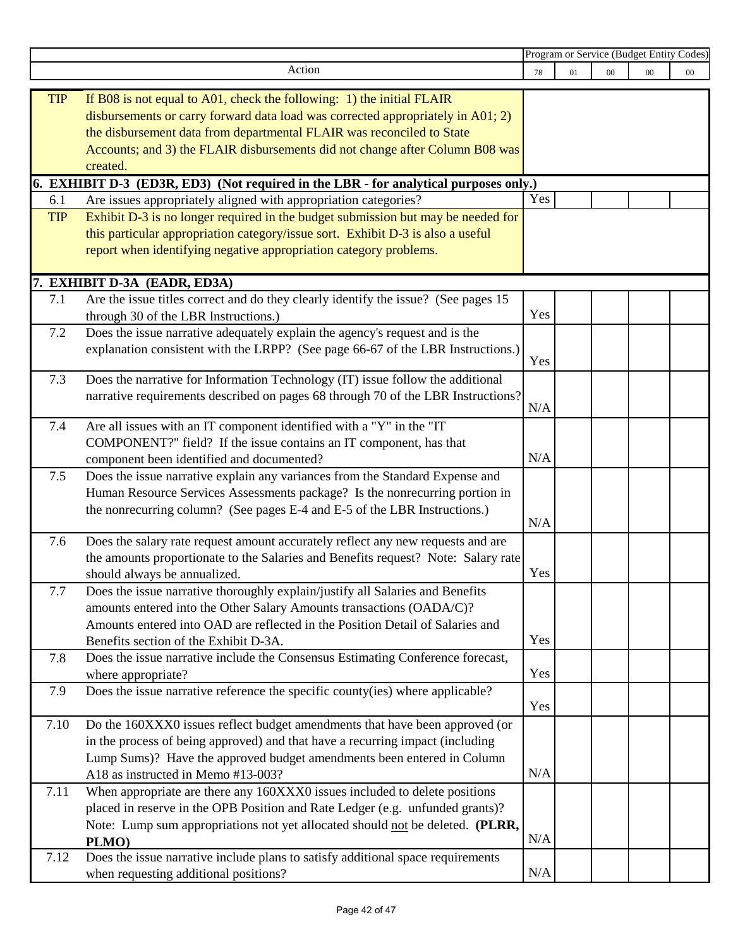|            |                                                                                      | Program or Service (Budget Entity Codes) |    |        |        |        |
|------------|--------------------------------------------------------------------------------------|------------------------------------------|----|--------|--------|--------|
|            | Action                                                                               | 78                                       | 01 | $00\,$ | $00\,$ | $00\,$ |
|            |                                                                                      |                                          |    |        |        |        |
| <b>TIP</b> | If B08 is not equal to A01, check the following: 1) the initial FLAIR                |                                          |    |        |        |        |
|            | disbursements or carry forward data load was corrected appropriately in A01; 2)      |                                          |    |        |        |        |
|            | the disbursement data from departmental FLAIR was reconciled to State                |                                          |    |        |        |        |
|            | Accounts; and 3) the FLAIR disbursements did not change after Column B08 was         |                                          |    |        |        |        |
|            | created.                                                                             |                                          |    |        |        |        |
|            | 6. EXHIBIT D-3 (ED3R, ED3) (Not required in the LBR - for analytical purposes only.) |                                          |    |        |        |        |
| 6.1        | Are issues appropriately aligned with appropriation categories?                      | Yes                                      |    |        |        |        |
| <b>TIP</b> | Exhibit D-3 is no longer required in the budget submission but may be needed for     |                                          |    |        |        |        |
|            | this particular appropriation category/issue sort. Exhibit D-3 is also a useful      |                                          |    |        |        |        |
|            | report when identifying negative appropriation category problems.                    |                                          |    |        |        |        |
|            |                                                                                      |                                          |    |        |        |        |
|            | 7. EXHIBIT D-3A (EADR, ED3A)                                                         |                                          |    |        |        |        |
| 7.1        | Are the issue titles correct and do they clearly identify the issue? (See pages 15   |                                          |    |        |        |        |
|            | through 30 of the LBR Instructions.)                                                 | Yes                                      |    |        |        |        |
| 7.2        | Does the issue narrative adequately explain the agency's request and is the          |                                          |    |        |        |        |
|            | explanation consistent with the LRPP? (See page 66-67 of the LBR Instructions.)      |                                          |    |        |        |        |
|            |                                                                                      | Yes                                      |    |        |        |        |
| 7.3        | Does the narrative for Information Technology (IT) issue follow the additional       |                                          |    |        |        |        |
|            | narrative requirements described on pages 68 through 70 of the LBR Instructions?     |                                          |    |        |        |        |
|            |                                                                                      | N/A                                      |    |        |        |        |
| 7.4        | Are all issues with an IT component identified with a "Y" in the "IT                 |                                          |    |        |        |        |
|            | COMPONENT?" field? If the issue contains an IT component, has that                   |                                          |    |        |        |        |
|            | component been identified and documented?                                            | N/A                                      |    |        |        |        |
| 7.5        | Does the issue narrative explain any variances from the Standard Expense and         |                                          |    |        |        |        |
|            | Human Resource Services Assessments package? Is the nonrecurring portion in          |                                          |    |        |        |        |
|            | the nonrecurring column? (See pages E-4 and E-5 of the LBR Instructions.)            |                                          |    |        |        |        |
|            |                                                                                      | N/A                                      |    |        |        |        |
| 7.6        | Does the salary rate request amount accurately reflect any new requests and are      |                                          |    |        |        |        |
|            | the amounts proportionate to the Salaries and Benefits request? Note: Salary rate    |                                          |    |        |        |        |
|            | should always be annualized.                                                         | Yes                                      |    |        |        |        |
| 7.7        | Does the issue narrative thoroughly explain/justify all Salaries and Benefits        |                                          |    |        |        |        |
|            | amounts entered into the Other Salary Amounts transactions (OADA/C)?                 |                                          |    |        |        |        |
|            | Amounts entered into OAD are reflected in the Position Detail of Salaries and        |                                          |    |        |        |        |
|            | Benefits section of the Exhibit D-3A.                                                | Yes                                      |    |        |        |        |
| 7.8        | Does the issue narrative include the Consensus Estimating Conference forecast,       |                                          |    |        |        |        |
|            | where appropriate?                                                                   | Yes                                      |    |        |        |        |
| 7.9        | Does the issue narrative reference the specific county(ies) where applicable?        |                                          |    |        |        |        |
|            |                                                                                      | Yes                                      |    |        |        |        |
| 7.10       | Do the 160XXX0 issues reflect budget amendments that have been approved (or          |                                          |    |        |        |        |
|            | in the process of being approved) and that have a recurring impact (including        |                                          |    |        |        |        |
|            | Lump Sums)? Have the approved budget amendments been entered in Column               |                                          |    |        |        |        |
|            | A18 as instructed in Memo #13-003?                                                   | N/A                                      |    |        |        |        |
| 7.11       | When appropriate are there any 160XXX0 issues included to delete positions           |                                          |    |        |        |        |
|            | placed in reserve in the OPB Position and Rate Ledger (e.g. unfunded grants)?        |                                          |    |        |        |        |
|            | Note: Lump sum appropriations not yet allocated should not be deleted. (PLRR,        |                                          |    |        |        |        |
|            | PLMO)                                                                                | N/A                                      |    |        |        |        |
| 7.12       | Does the issue narrative include plans to satisfy additional space requirements      |                                          |    |        |        |        |
|            | when requesting additional positions?                                                | N/A                                      |    |        |        |        |
|            |                                                                                      |                                          |    |        |        |        |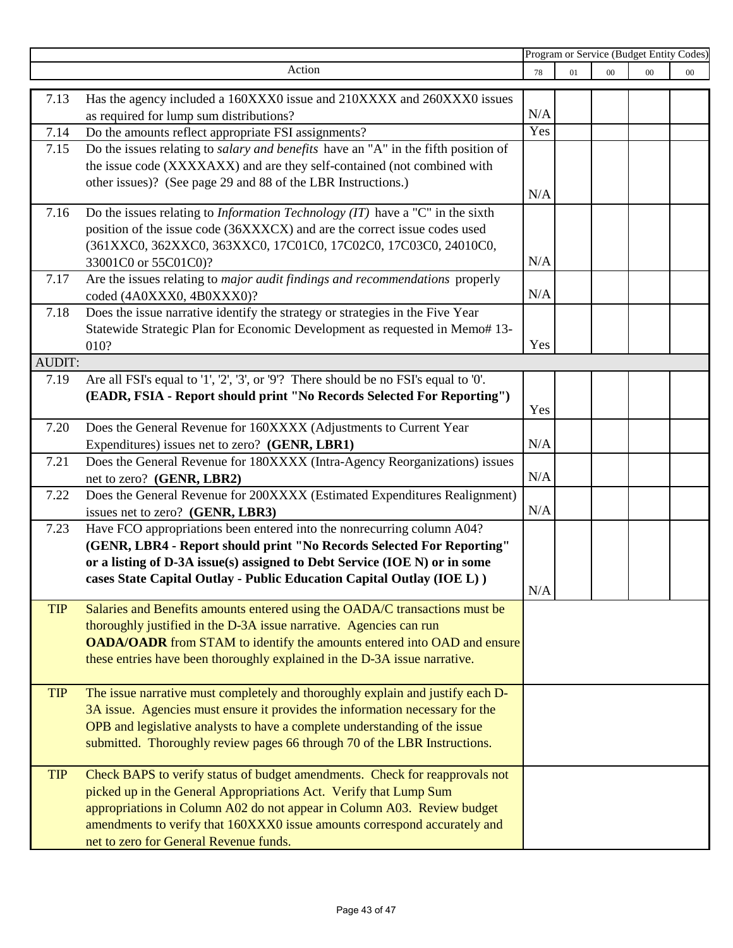|            |                                                                                                                                           | Program or Service (Budget Entity Codes) |    |        |        |        |
|------------|-------------------------------------------------------------------------------------------------------------------------------------------|------------------------------------------|----|--------|--------|--------|
|            | Action                                                                                                                                    | 78                                       | 01 | $00\,$ | $00\,$ | $00\,$ |
| 7.13       | Has the agency included a 160XXX0 issue and 210XXXX and 260XXX0 issues                                                                    |                                          |    |        |        |        |
|            | as required for lump sum distributions?                                                                                                   | N/A                                      |    |        |        |        |
| 7.14       |                                                                                                                                           | Yes                                      |    |        |        |        |
| 7.15       | Do the amounts reflect appropriate FSI assignments?<br>Do the issues relating to salary and benefits have an "A" in the fifth position of |                                          |    |        |        |        |
|            | the issue code (XXXXAXX) and are they self-contained (not combined with                                                                   |                                          |    |        |        |        |
|            |                                                                                                                                           |                                          |    |        |        |        |
|            | other issues)? (See page 29 and 88 of the LBR Instructions.)                                                                              | N/A                                      |    |        |        |        |
| 7.16       | Do the issues relating to <i>Information Technology (IT)</i> have a "C" in the sixth                                                      |                                          |    |        |        |        |
|            | position of the issue code (36XXXCX) and are the correct issue codes used                                                                 |                                          |    |        |        |        |
|            | (361XXC0, 362XXC0, 363XXC0, 17C01C0, 17C02C0, 17C03C0, 24010C0,                                                                           |                                          |    |        |        |        |
|            | 33001C0 or 55C01C0)?                                                                                                                      | N/A                                      |    |        |        |        |
| 7.17       | Are the issues relating to major audit findings and recommendations properly                                                              |                                          |    |        |        |        |
|            | coded (4A0XXX0, 4B0XXX0)?                                                                                                                 | N/A                                      |    |        |        |        |
| 7.18       | Does the issue narrative identify the strategy or strategies in the Five Year                                                             |                                          |    |        |        |        |
|            | Statewide Strategic Plan for Economic Development as requested in Memo# 13-                                                               |                                          |    |        |        |        |
|            | 010?                                                                                                                                      | Yes                                      |    |        |        |        |
| AUDIT:     |                                                                                                                                           |                                          |    |        |        |        |
| 7.19       | Are all FSI's equal to '1', '2', '3', or '9'? There should be no FSI's equal to '0'.                                                      |                                          |    |        |        |        |
|            | (EADR, FSIA - Report should print "No Records Selected For Reporting")                                                                    |                                          |    |        |        |        |
|            |                                                                                                                                           | Yes                                      |    |        |        |        |
| 7.20       | Does the General Revenue for 160XXXX (Adjustments to Current Year                                                                         |                                          |    |        |        |        |
|            | Expenditures) issues net to zero? (GENR, LBR1)                                                                                            | N/A                                      |    |        |        |        |
| 7.21       | Does the General Revenue for 180XXXX (Intra-Agency Reorganizations) issues                                                                |                                          |    |        |        |        |
|            | net to zero? (GENR, LBR2)                                                                                                                 | N/A                                      |    |        |        |        |
| 7.22       | Does the General Revenue for 200XXXX (Estimated Expenditures Realignment)                                                                 |                                          |    |        |        |        |
|            | issues net to zero? (GENR, LBR3)                                                                                                          | N/A                                      |    |        |        |        |
| 7.23       | Have FCO appropriations been entered into the nonrecurring column A04?                                                                    |                                          |    |        |        |        |
|            | (GENR, LBR4 - Report should print "No Records Selected For Reporting"                                                                     |                                          |    |        |        |        |
|            | or a listing of D-3A issue(s) assigned to Debt Service (IOE N) or in some                                                                 |                                          |    |        |        |        |
|            | cases State Capital Outlay - Public Education Capital Outlay (IOE L))                                                                     |                                          |    |        |        |        |
|            |                                                                                                                                           | N/A                                      |    |        |        |        |
| <b>TIP</b> | Salaries and Benefits amounts entered using the OADA/C transactions must be                                                               |                                          |    |        |        |        |
|            | thoroughly justified in the D-3A issue narrative. Agencies can run                                                                        |                                          |    |        |        |        |
|            | <b>OADA/OADR</b> from STAM to identify the amounts entered into OAD and ensure                                                            |                                          |    |        |        |        |
|            | these entries have been thoroughly explained in the D-3A issue narrative.                                                                 |                                          |    |        |        |        |
|            |                                                                                                                                           |                                          |    |        |        |        |
| <b>TIP</b> | The issue narrative must completely and thoroughly explain and justify each D-                                                            |                                          |    |        |        |        |
|            | 3A issue. Agencies must ensure it provides the information necessary for the                                                              |                                          |    |        |        |        |
|            | OPB and legislative analysts to have a complete understanding of the issue                                                                |                                          |    |        |        |        |
|            | submitted. Thoroughly review pages 66 through 70 of the LBR Instructions.                                                                 |                                          |    |        |        |        |
|            |                                                                                                                                           |                                          |    |        |        |        |
| <b>TIP</b> | Check BAPS to verify status of budget amendments. Check for reapprovals not                                                               |                                          |    |        |        |        |
|            | picked up in the General Appropriations Act. Verify that Lump Sum                                                                         |                                          |    |        |        |        |
|            | appropriations in Column A02 do not appear in Column A03. Review budget                                                                   |                                          |    |        |        |        |
|            | amendments to verify that 160XXX0 issue amounts correspond accurately and                                                                 |                                          |    |        |        |        |
|            | net to zero for General Revenue funds.                                                                                                    |                                          |    |        |        |        |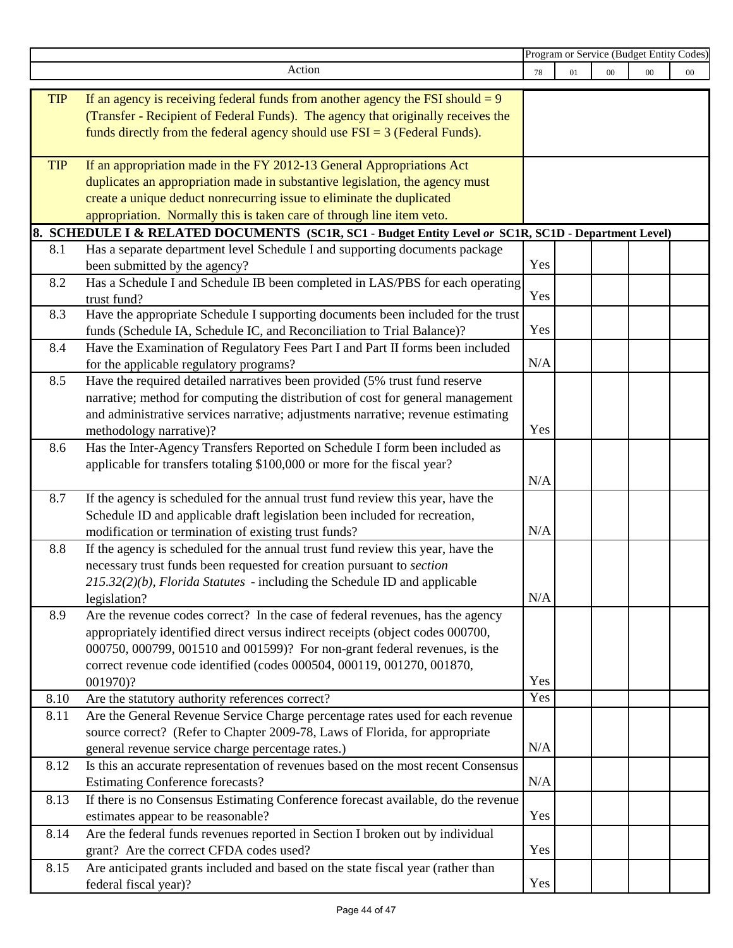|            |                                                                                                                | Program or Service (Budget Entity Codes) |    |        |        |        |
|------------|----------------------------------------------------------------------------------------------------------------|------------------------------------------|----|--------|--------|--------|
|            | Action                                                                                                         | 78                                       | 01 | $00\,$ | $00\,$ | $00\,$ |
|            |                                                                                                                |                                          |    |        |        |        |
| <b>TIP</b> | If an agency is receiving federal funds from another agency the FSI should $= 9$                               |                                          |    |        |        |        |
|            | (Transfer - Recipient of Federal Funds). The agency that originally receives the                               |                                          |    |        |        |        |
|            | funds directly from the federal agency should use $FSI = 3$ (Federal Funds).                                   |                                          |    |        |        |        |
| <b>TIP</b> | If an appropriation made in the FY 2012-13 General Appropriations Act                                          |                                          |    |        |        |        |
|            | duplicates an appropriation made in substantive legislation, the agency must                                   |                                          |    |        |        |        |
|            | create a unique deduct nonrecurring issue to eliminate the duplicated                                          |                                          |    |        |        |        |
|            | appropriation. Normally this is taken care of through line item veto.                                          |                                          |    |        |        |        |
|            | 8. SCHEDULE I & RELATED DOCUMENTS (SC1R, SC1 - Budget Entity Level or SC1R, SC1D - Department Level)           |                                          |    |        |        |        |
| 8.1        | Has a separate department level Schedule I and supporting documents package                                    |                                          |    |        |        |        |
|            |                                                                                                                | Yes                                      |    |        |        |        |
| 8.2        | been submitted by the agency?<br>Has a Schedule I and Schedule IB been completed in LAS/PBS for each operating |                                          |    |        |        |        |
|            | trust fund?                                                                                                    | Yes                                      |    |        |        |        |
| 8.3        | Have the appropriate Schedule I supporting documents been included for the trust                               |                                          |    |        |        |        |
|            | funds (Schedule IA, Schedule IC, and Reconciliation to Trial Balance)?                                         | Yes                                      |    |        |        |        |
| 8.4        | Have the Examination of Regulatory Fees Part I and Part II forms been included                                 |                                          |    |        |        |        |
|            | for the applicable regulatory programs?                                                                        | N/A                                      |    |        |        |        |
| 8.5        | Have the required detailed narratives been provided (5% trust fund reserve                                     |                                          |    |        |        |        |
|            | narrative; method for computing the distribution of cost for general management                                |                                          |    |        |        |        |
|            | and administrative services narrative; adjustments narrative; revenue estimating                               |                                          |    |        |        |        |
|            | methodology narrative)?                                                                                        | Yes                                      |    |        |        |        |
| 8.6        | Has the Inter-Agency Transfers Reported on Schedule I form been included as                                    |                                          |    |        |        |        |
|            | applicable for transfers totaling \$100,000 or more for the fiscal year?                                       |                                          |    |        |        |        |
|            |                                                                                                                | N/A                                      |    |        |        |        |
| 8.7        | If the agency is scheduled for the annual trust fund review this year, have the                                |                                          |    |        |        |        |
|            | Schedule ID and applicable draft legislation been included for recreation,                                     |                                          |    |        |        |        |
|            | modification or termination of existing trust funds?                                                           | N/A                                      |    |        |        |        |
| 8.8        | If the agency is scheduled for the annual trust fund review this year, have the                                |                                          |    |        |        |        |
|            | necessary trust funds been requested for creation pursuant to section                                          |                                          |    |        |        |        |
|            | $215.32(2)(b)$ , Florida Statutes - including the Schedule ID and applicable                                   |                                          |    |        |        |        |
|            | legislation?                                                                                                   | N/A                                      |    |        |        |        |
| 8.9        | Are the revenue codes correct? In the case of federal revenues, has the agency                                 |                                          |    |        |        |        |
|            | appropriately identified direct versus indirect receipts (object codes 000700,                                 |                                          |    |        |        |        |
|            | 000750, 000799, 001510 and 001599)? For non-grant federal revenues, is the                                     |                                          |    |        |        |        |
|            | correct revenue code identified (codes 000504, 000119, 001270, 001870,                                         |                                          |    |        |        |        |
|            | 001970)?                                                                                                       | Yes                                      |    |        |        |        |
| 8.10       | Are the statutory authority references correct?                                                                | Yes                                      |    |        |        |        |
| 8.11       | Are the General Revenue Service Charge percentage rates used for each revenue                                  |                                          |    |        |        |        |
|            | source correct? (Refer to Chapter 2009-78, Laws of Florida, for appropriate                                    |                                          |    |        |        |        |
|            | general revenue service charge percentage rates.)                                                              | N/A                                      |    |        |        |        |
| 8.12       | Is this an accurate representation of revenues based on the most recent Consensus                              |                                          |    |        |        |        |
|            | <b>Estimating Conference forecasts?</b>                                                                        | N/A                                      |    |        |        |        |
| 8.13       | If there is no Consensus Estimating Conference forecast available, do the revenue                              |                                          |    |        |        |        |
|            | estimates appear to be reasonable?                                                                             | Yes                                      |    |        |        |        |
| 8.14       | Are the federal funds revenues reported in Section I broken out by individual                                  |                                          |    |        |        |        |
|            | grant? Are the correct CFDA codes used?                                                                        | Yes                                      |    |        |        |        |
| 8.15       | Are anticipated grants included and based on the state fiscal year (rather than                                |                                          |    |        |        |        |
|            | federal fiscal year)?                                                                                          | Yes                                      |    |        |        |        |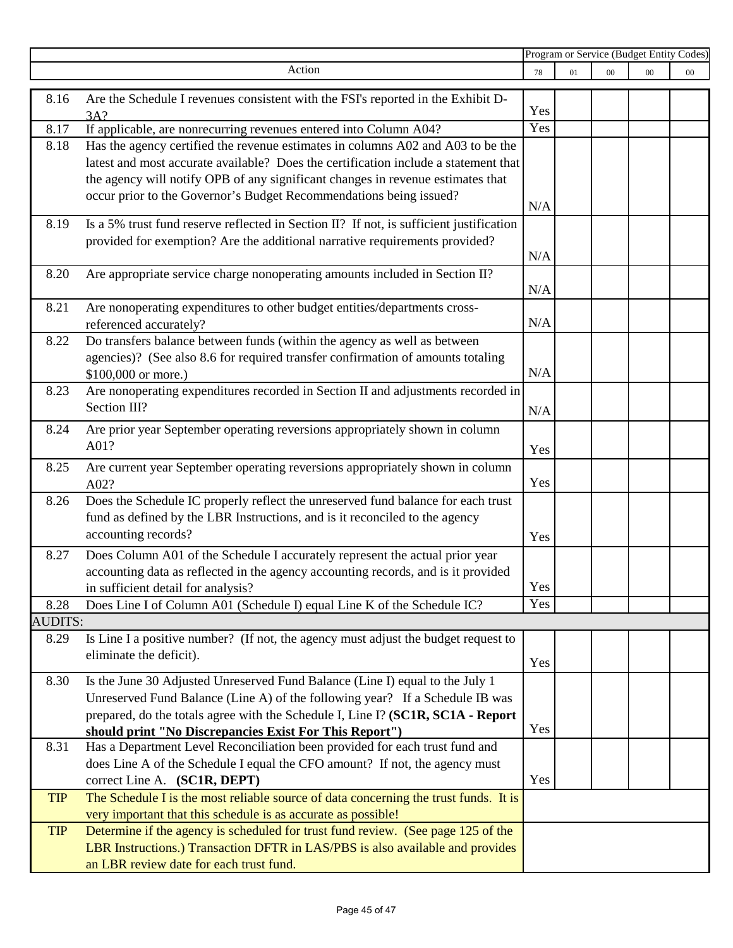|                |                                                                                                                                                              | Program or Service (Budget Entity Codes) |    |        |        |        |
|----------------|--------------------------------------------------------------------------------------------------------------------------------------------------------------|------------------------------------------|----|--------|--------|--------|
|                | Action                                                                                                                                                       | 78                                       | 01 | $00\,$ | $00\,$ | $00\,$ |
| 8.16           | Are the Schedule I revenues consistent with the FSI's reported in the Exhibit D-                                                                             |                                          |    |        |        |        |
|                | 3A?                                                                                                                                                          | Yes                                      |    |        |        |        |
| 8.17           | If applicable, are nonrecurring revenues entered into Column A04?                                                                                            | Yes                                      |    |        |        |        |
| 8.18           | Has the agency certified the revenue estimates in columns A02 and A03 to be the                                                                              |                                          |    |        |        |        |
|                | latest and most accurate available? Does the certification include a statement that                                                                          |                                          |    |        |        |        |
|                | the agency will notify OPB of any significant changes in revenue estimates that                                                                              |                                          |    |        |        |        |
|                | occur prior to the Governor's Budget Recommendations being issued?                                                                                           |                                          |    |        |        |        |
|                |                                                                                                                                                              | N/A                                      |    |        |        |        |
| 8.19           | Is a 5% trust fund reserve reflected in Section II? If not, is sufficient justification                                                                      |                                          |    |        |        |        |
|                | provided for exemption? Are the additional narrative requirements provided?                                                                                  |                                          |    |        |        |        |
|                |                                                                                                                                                              | N/A                                      |    |        |        |        |
| 8.20           | Are appropriate service charge nonoperating amounts included in Section II?                                                                                  |                                          |    |        |        |        |
|                |                                                                                                                                                              | N/A                                      |    |        |        |        |
| 8.21           | Are nonoperating expenditures to other budget entities/departments cross-                                                                                    |                                          |    |        |        |        |
|                | referenced accurately?                                                                                                                                       | N/A                                      |    |        |        |        |
| 8.22           | Do transfers balance between funds (within the agency as well as between                                                                                     |                                          |    |        |        |        |
|                | agencies)? (See also 8.6 for required transfer confirmation of amounts totaling                                                                              |                                          |    |        |        |        |
|                | \$100,000 or more.)                                                                                                                                          | N/A                                      |    |        |        |        |
| 8.23           | Are nonoperating expenditures recorded in Section II and adjustments recorded in                                                                             |                                          |    |        |        |        |
|                | Section III?                                                                                                                                                 | N/A                                      |    |        |        |        |
| 8.24           | Are prior year September operating reversions appropriately shown in column                                                                                  |                                          |    |        |        |        |
|                | A01?                                                                                                                                                         | Yes                                      |    |        |        |        |
| 8.25           | Are current year September operating reversions appropriately shown in column                                                                                |                                          |    |        |        |        |
|                | A02?                                                                                                                                                         | Yes                                      |    |        |        |        |
| 8.26           | Does the Schedule IC properly reflect the unreserved fund balance for each trust                                                                             |                                          |    |        |        |        |
|                | fund as defined by the LBR Instructions, and is it reconciled to the agency                                                                                  |                                          |    |        |        |        |
|                | accounting records?                                                                                                                                          | Yes                                      |    |        |        |        |
| 8.27           | Does Column A01 of the Schedule I accurately represent the actual prior year                                                                                 |                                          |    |        |        |        |
|                | accounting data as reflected in the agency accounting records, and is it provided                                                                            |                                          |    |        |        |        |
|                | in sufficient detail for analysis?                                                                                                                           | Yes                                      |    |        |        |        |
| 8.28           | Does Line I of Column A01 (Schedule I) equal Line K of the Schedule IC?                                                                                      | Yes                                      |    |        |        |        |
| <b>AUDITS:</b> |                                                                                                                                                              |                                          |    |        |        |        |
| 8.29           | Is Line I a positive number? (If not, the agency must adjust the budget request to                                                                           |                                          |    |        |        |        |
|                | eliminate the deficit).                                                                                                                                      | Yes                                      |    |        |        |        |
|                |                                                                                                                                                              |                                          |    |        |        |        |
| 8.30           | Is the June 30 Adjusted Unreserved Fund Balance (Line I) equal to the July 1<br>Unreserved Fund Balance (Line A) of the following year? If a Schedule IB was |                                          |    |        |        |        |
|                | prepared, do the totals agree with the Schedule I, Line I? (SC1R, SC1A - Report                                                                              |                                          |    |        |        |        |
|                | should print "No Discrepancies Exist For This Report")                                                                                                       | Yes                                      |    |        |        |        |
| 8.31           | Has a Department Level Reconciliation been provided for each trust fund and                                                                                  |                                          |    |        |        |        |
|                | does Line A of the Schedule I equal the CFO amount? If not, the agency must                                                                                  |                                          |    |        |        |        |
|                | correct Line A. (SC1R, DEPT)                                                                                                                                 | Yes                                      |    |        |        |        |
| <b>TIP</b>     | The Schedule I is the most reliable source of data concerning the trust funds. It is                                                                         |                                          |    |        |        |        |
|                | very important that this schedule is as accurate as possible!                                                                                                |                                          |    |        |        |        |
| <b>TIP</b>     | Determine if the agency is scheduled for trust fund review. (See page 125 of the                                                                             |                                          |    |        |        |        |
|                | LBR Instructions.) Transaction DFTR in LAS/PBS is also available and provides                                                                                |                                          |    |        |        |        |
|                | an LBR review date for each trust fund.                                                                                                                      |                                          |    |        |        |        |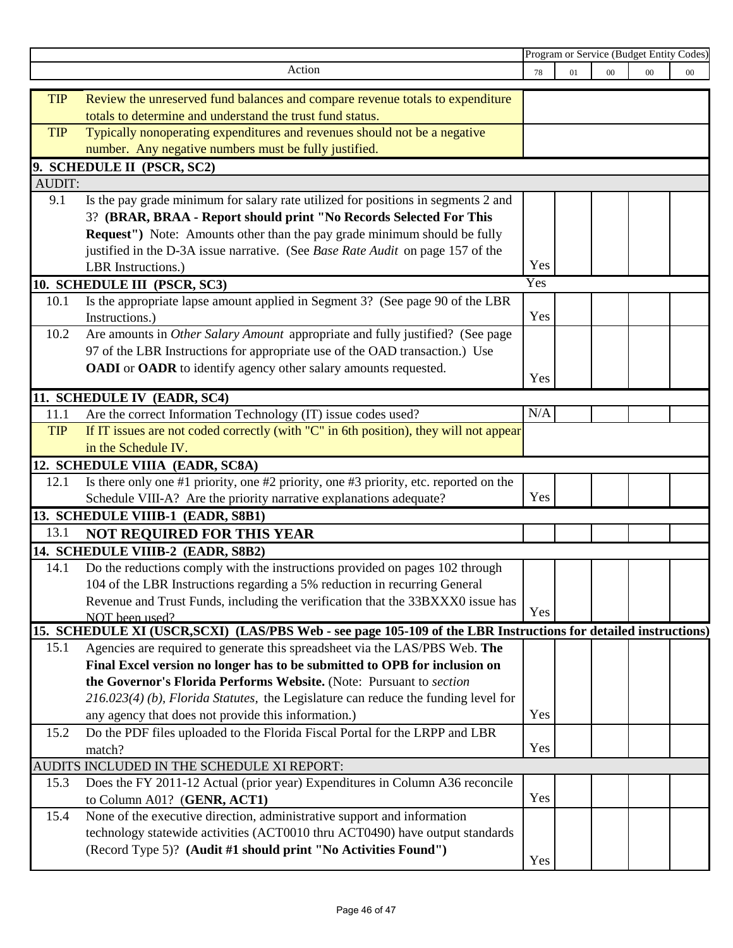|               |                                                                                                                 | Program or Service (Budget Entity Codes) |    |        |        |        |
|---------------|-----------------------------------------------------------------------------------------------------------------|------------------------------------------|----|--------|--------|--------|
|               | Action                                                                                                          | 78                                       | 01 | $00\,$ | $00\,$ | $00\,$ |
|               |                                                                                                                 |                                          |    |        |        |        |
| <b>TIP</b>    | Review the unreserved fund balances and compare revenue totals to expenditure                                   |                                          |    |        |        |        |
|               | totals to determine and understand the trust fund status.                                                       |                                          |    |        |        |        |
| <b>TIP</b>    | Typically nonoperating expenditures and revenues should not be a negative                                       |                                          |    |        |        |        |
|               | number. Any negative numbers must be fully justified.                                                           |                                          |    |        |        |        |
|               | 9. SCHEDULE II (PSCR, SC2)                                                                                      |                                          |    |        |        |        |
| <b>AUDIT:</b> |                                                                                                                 |                                          |    |        |        |        |
| 9.1           | Is the pay grade minimum for salary rate utilized for positions in segments 2 and                               |                                          |    |        |        |        |
|               | 3? (BRAR, BRAA - Report should print "No Records Selected For This                                              |                                          |    |        |        |        |
|               | <b>Request''</b> ) Note: Amounts other than the pay grade minimum should be fully                               |                                          |    |        |        |        |
|               | justified in the D-3A issue narrative. (See Base Rate Audit on page 157 of the                                  |                                          |    |        |        |        |
|               | LBR Instructions.)                                                                                              | Yes                                      |    |        |        |        |
|               | 10. SCHEDULE III (PSCR, SC3)                                                                                    | Yes                                      |    |        |        |        |
| 10.1          | Is the appropriate lapse amount applied in Segment 3? (See page 90 of the LBR                                   |                                          |    |        |        |        |
|               | Instructions.)                                                                                                  | Yes                                      |    |        |        |        |
| 10.2          | Are amounts in Other Salary Amount appropriate and fully justified? (See page                                   |                                          |    |        |        |        |
|               | 97 of the LBR Instructions for appropriate use of the OAD transaction.) Use                                     |                                          |    |        |        |        |
|               | <b>OADI</b> or <b>OADR</b> to identify agency other salary amounts requested.                                   |                                          |    |        |        |        |
|               |                                                                                                                 | Yes                                      |    |        |        |        |
|               | 11. SCHEDULE IV (EADR, SC4)                                                                                     |                                          |    |        |        |        |
| 11.1          | Are the correct Information Technology (IT) issue codes used?                                                   | N/A                                      |    |        |        |        |
| <b>TIP</b>    | If IT issues are not coded correctly (with "C" in 6th position), they will not appear                           |                                          |    |        |        |        |
|               | in the Schedule IV.                                                                                             |                                          |    |        |        |        |
|               | 12. SCHEDULE VIIIA (EADR, SC8A)                                                                                 |                                          |    |        |        |        |
| 12.1          | Is there only one #1 priority, one #2 priority, one #3 priority, etc. reported on the                           |                                          |    |        |        |        |
|               | Schedule VIII-A? Are the priority narrative explanations adequate?                                              | Yes                                      |    |        |        |        |
|               | 13. SCHEDULE VIIIB-1 (EADR, S8B1)                                                                               |                                          |    |        |        |        |
| 13.1          | NOT REQUIRED FOR THIS YEAR                                                                                      |                                          |    |        |        |        |
|               | 14. SCHEDULE VIIIB-2 (EADR, S8B2)                                                                               |                                          |    |        |        |        |
| 14.1          | Do the reductions comply with the instructions provided on pages 102 through                                    |                                          |    |        |        |        |
|               | 104 of the LBR Instructions regarding a 5% reduction in recurring General                                       |                                          |    |        |        |        |
|               | Revenue and Trust Funds, including the verification that the 33BXXX0 issue has                                  |                                          |    |        |        |        |
|               | NOT been used?                                                                                                  | Yes                                      |    |        |        |        |
|               | 15. SCHEDULE XI (USCR, SCXI) (LAS/PBS Web - see page 105-109 of the LBR Instructions for detailed instructions) |                                          |    |        |        |        |
| 15.1          | Agencies are required to generate this spreadsheet via the LAS/PBS Web. The                                     |                                          |    |        |        |        |
|               | Final Excel version no longer has to be submitted to OPB for inclusion on                                       |                                          |    |        |        |        |
|               | the Governor's Florida Performs Website. (Note: Pursuant to section                                             |                                          |    |        |        |        |
|               | $216.023(4)$ (b), Florida Statutes, the Legislature can reduce the funding level for                            |                                          |    |        |        |        |
|               | any agency that does not provide this information.)                                                             | Yes                                      |    |        |        |        |
| 15.2          | Do the PDF files uploaded to the Florida Fiscal Portal for the LRPP and LBR                                     |                                          |    |        |        |        |
|               | match?                                                                                                          | Yes                                      |    |        |        |        |
|               | AUDITS INCLUDED IN THE SCHEDULE XI REPORT:                                                                      |                                          |    |        |        |        |
| 15.3          | Does the FY 2011-12 Actual (prior year) Expenditures in Column A36 reconcile                                    |                                          |    |        |        |        |
|               | to Column A01? (GENR, ACT1)                                                                                     | Yes                                      |    |        |        |        |
| 15.4          | None of the executive direction, administrative support and information                                         |                                          |    |        |        |        |
|               | technology statewide activities (ACT0010 thru ACT0490) have output standards                                    |                                          |    |        |        |        |
|               | (Record Type 5)? (Audit #1 should print "No Activities Found")                                                  |                                          |    |        |        |        |
|               |                                                                                                                 | Yes                                      |    |        |        |        |